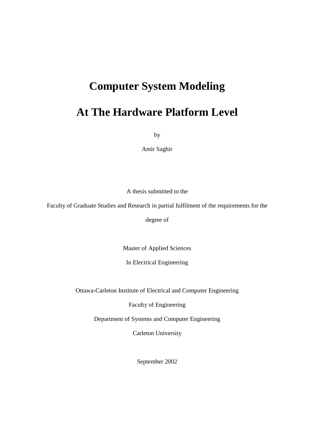## **Computer System Modeling**

## **At The Hardware Platform Level**

by

Amir Saghir

A thesis submitted to the

Faculty of Graduate Studies and Research in partial fulfilment of the requirements for the

degree of

Master of Applied Sciences

In Electrical Engineering

Ottawa-Carleton Institute of Electrical and Computer Engineering

Faculty of Engineering

Department of Systems and Computer Engineering

Carleton University

September 2002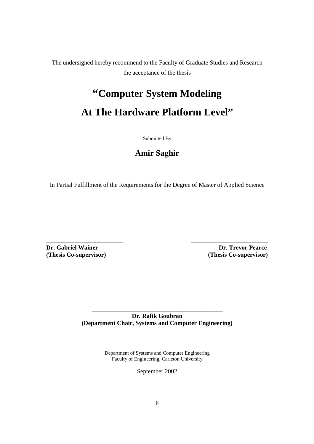The undersigned hereby recommend to the Faculty of Graduate Studies and Research the acceptance of the thesis

# **"Computer System Modeling At The Hardware Platform Level"**

Submitted By

#### **Amir Saghir**

In Partial Fulfillment of the Requirements for the Degree of Master of Applied Science

\_\_\_\_\_\_\_\_\_\_\_\_\_\_\_\_\_\_\_\_\_\_\_\_\_ \_\_\_\_\_\_\_\_\_\_\_\_\_\_\_\_\_\_\_\_\_\_\_\_\_

**(Thesis Co-supervisor) (Thesis Co-supervisor)** 

**Dr. Gabriel Wainer Community Community Community Community Community Community Community Community Community Community Community Community Community Community Community Community Community Community Community Community Co** 

*\_\_\_\_\_\_\_\_\_\_\_\_\_\_\_\_\_\_\_\_\_\_\_\_\_\_\_\_\_\_\_\_\_\_\_\_\_\_\_\_\_\_\_\_\_\_\_\_\_\_\_* **Dr. Rafik Goubran (Department Chair, Systems and Computer Engineering)** 

> Department of Systems and Computer Engineering Faculty of Engineering, Carleton University

> > September 2002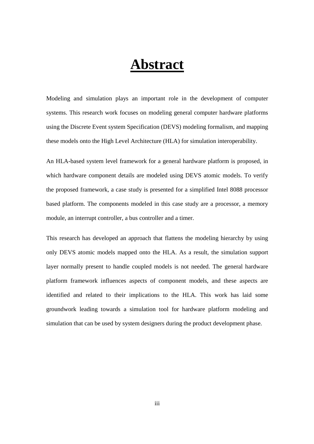# **Abstract**

Modeling and simulation plays an important role in the development of computer systems. This research work focuses on modeling general computer hardware platforms using the Discrete Event system Specification (DEVS) modeling formalism, and mapping these models onto the High Level Architecture (HLA) for simulation interoperability.

An HLA-based system level framework for a general hardware platform is proposed, in which hardware component details are modeled using DEVS atomic models. To verify the proposed framework, a case study is presented for a simplified Intel 8088 processor based platform. The components modeled in this case study are a processor, a memory module, an interrupt controller, a bus controller and a timer.

This research has developed an approach that flattens the modeling hierarchy by using only DEVS atomic models mapped onto the HLA. As a result, the simulation support layer normally present to handle coupled models is not needed. The general hardware platform framework influences aspects of component models, and these aspects are identified and related to their implications to the HLA. This work has laid some groundwork leading towards a simulation tool for hardware platform modeling and simulation that can be used by system designers during the product development phase.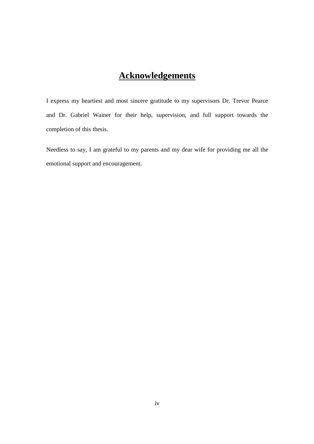#### **Acknowledgements**

I express my heartiest and most sincere gratitude to my supervisors Dr. Trevor Pearce and Dr. Gabriel Wainer for their help, supervision, and full support towards the completion of this thesis.

Needless to say, I am grateful to my parents and my dear wife for providing me all the emotional support and encouragement.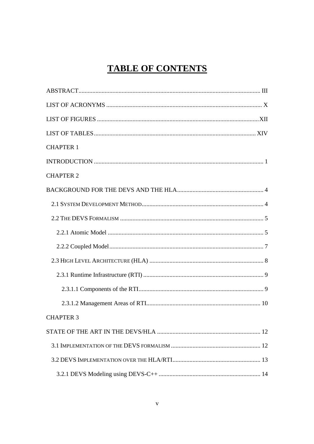## **TABLE OF CONTENTS**

| <b>CHAPTER 1</b> |
|------------------|
|                  |
| <b>CHAPTER 2</b> |
|                  |
|                  |
|                  |
|                  |
|                  |
|                  |
|                  |
|                  |
|                  |
| <b>CHAPTER 3</b> |
|                  |
|                  |
|                  |
|                  |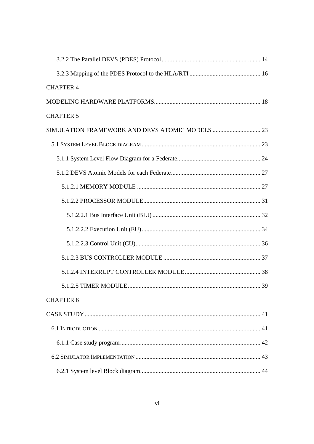| <b>CHAPTER 4</b>                                |  |
|-------------------------------------------------|--|
|                                                 |  |
| <b>CHAPTER 5</b>                                |  |
| SIMULATION FRAMEWORK AND DEVS ATOMIC MODELS  23 |  |
|                                                 |  |
|                                                 |  |
|                                                 |  |
|                                                 |  |
|                                                 |  |
|                                                 |  |
|                                                 |  |
|                                                 |  |
|                                                 |  |
|                                                 |  |
|                                                 |  |
| <b>CHAPTER 6</b>                                |  |
|                                                 |  |
|                                                 |  |
|                                                 |  |
|                                                 |  |
|                                                 |  |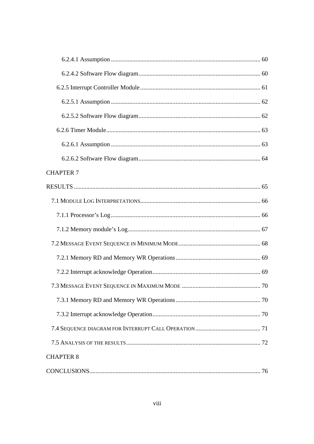| <b>CHAPTER 7</b> |  |
|------------------|--|
|                  |  |
|                  |  |
|                  |  |
|                  |  |
|                  |  |
|                  |  |
|                  |  |
|                  |  |
|                  |  |
|                  |  |
|                  |  |
|                  |  |
| <b>CHAPTER 8</b> |  |
|                  |  |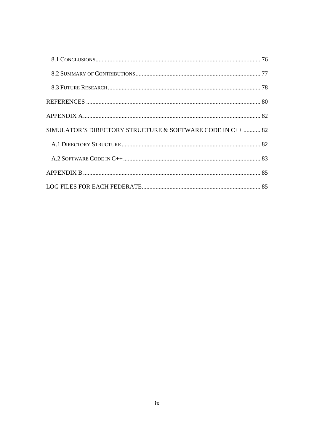| SIMULATOR'S DIRECTORY STRUCTURE & SOFTWARE CODE IN C++  82 |  |
|------------------------------------------------------------|--|
|                                                            |  |
|                                                            |  |
|                                                            |  |
|                                                            |  |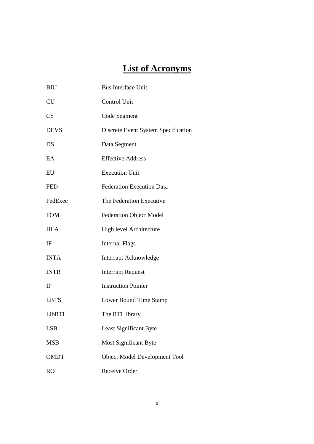## **List of Acronyms**

| <b>BIU</b>  | <b>Bus Interface Unit</b>           |
|-------------|-------------------------------------|
| <b>CU</b>   | Control Unit                        |
| CS          | Code Segment                        |
| <b>DEVS</b> | Discrete Event System Specification |
| DS          | Data Segment                        |
| EA          | <b>Effective Address</b>            |
| EU          | <b>Execution Unit</b>               |
| <b>FED</b>  | <b>Federation Execution Data</b>    |
| FedExec     | The Federation Executive            |
| <b>FOM</b>  | <b>Federation Object Model</b>      |
| <b>HLA</b>  | <b>High level Architecture</b>      |
| IF          | <b>Internal Flags</b>               |
| <b>INTA</b> | Interrupt Acknowledge               |
| <b>INTR</b> | <b>Interrupt Request</b>            |
| IP          | <b>Instruction Pointer</b>          |
| <b>LBTS</b> | Lower Bound Time Stamp              |
| LibRTI      | The RTI library                     |
| <b>LSB</b>  | Least Significant Byte              |
| <b>MSB</b>  | <b>Most Significant Byte</b>        |
| <b>OMDT</b> | Object Model Development Tool       |
| <b>RO</b>   | Receive Order                       |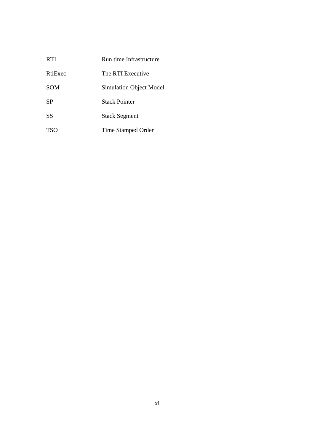| <b>RTI</b> | Run time Infrastructure        |
|------------|--------------------------------|
| RtiExec    | The RTI Executive              |
| <b>SOM</b> | <b>Simulation Object Model</b> |
| <b>SP</b>  | <b>Stack Pointer</b>           |
| <b>SS</b>  | <b>Stack Segment</b>           |
| <b>TSO</b> | <b>Time Stamped Order</b>      |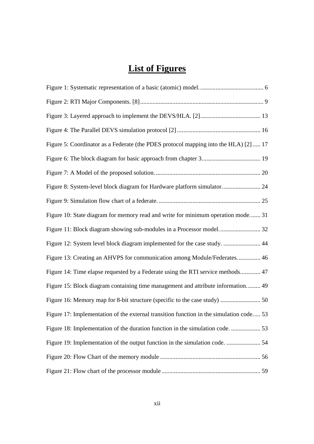## **List of Figures**

| Figure 5: Coordinator as a Federate (the PDES protocol mapping into the HLA) [2]  17    |
|-----------------------------------------------------------------------------------------|
|                                                                                         |
|                                                                                         |
| Figure 8: System-level block diagram for Hardware platform simulator 24                 |
|                                                                                         |
| Figure 10: State diagram for memory read and write for minimum operation mode 31        |
|                                                                                         |
| Figure 12: System level block diagram implemented for the case study.  44               |
| Figure 13: Creating an AHVPS for communication among Module/Federates 46                |
| Figure 14: Time elapse requested by a Federate using the RTI service methods 47         |
| Figure 15: Block diagram containing time management and attribute information 49        |
|                                                                                         |
| Figure 17: Implementation of the external transition function in the simulation code 53 |
|                                                                                         |
| Figure 19: Implementation of the output function in the simulation code.  54            |
|                                                                                         |
|                                                                                         |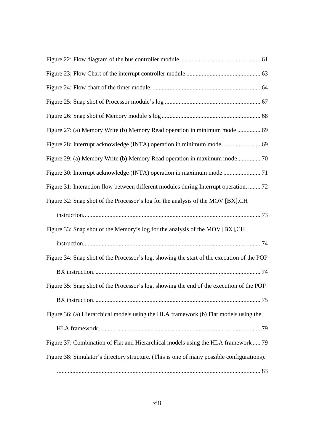| Figure 27: (a) Memory Write (b) Memory Read operation in minimum mode  69                  |
|--------------------------------------------------------------------------------------------|
|                                                                                            |
| Figure 29: (a) Memory Write (b) Memory Read operation in maximum mode 70                   |
|                                                                                            |
| Figure 31: Interaction flow between different modules during Interrupt operation.  72      |
| Figure 32: Snap shot of the Processor's log for the analysis of the MOV [BX], CH           |
|                                                                                            |
| Figure 33: Snap shot of the Memory's log for the analysis of the MOV [BX], CH              |
|                                                                                            |
| Figure 34: Snap shot of the Processor's log, showing the start of the execution of the POP |
|                                                                                            |
| Figure 35: Snap shot of the Processor's log, showing the end of the execution of the POP   |
|                                                                                            |
| Figure 36: (a) Hierarchical models using the HLA framework (b) Flat models using the       |
|                                                                                            |
| Figure 37: Combination of Flat and Hierarchical models using the HLA framework  79         |
| Figure 38: Simulator's directory structure. (This is one of many possible configurations). |
|                                                                                            |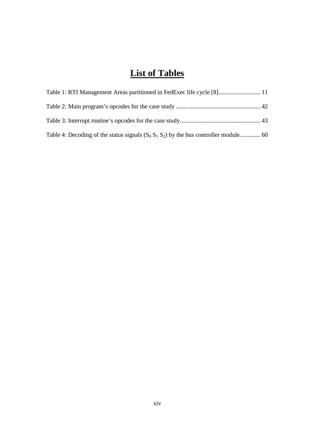### **List of Tables**

| Table 1: RTI Management Areas partitioned in FedExec life cycle [8] 11                  |  |
|-----------------------------------------------------------------------------------------|--|
|                                                                                         |  |
|                                                                                         |  |
| Table 4: Decoding of the status signals $(S_0 S_1 S_2)$ by the bus controller module 60 |  |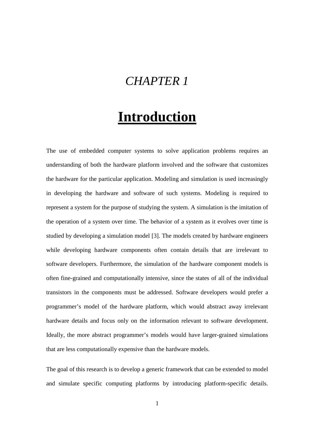## *CHAPTER 1*

# **Introduction**

The use of embedded computer systems to solve application problems requires an understanding of both the hardware platform involved and the software that customizes the hardware for the particular application. Modeling and simulation is used increasingly in developing the hardware and software of such systems. Modeling is required to represent a system for the purpose of studying the system. A simulation is the imitation of the operation of a system over time. The behavior of a system as it evolves over time is studied by developing a simulation model [3]. The models created by hardware engineers while developing hardware components often contain details that are irrelevant to software developers. Furthermore, the simulation of the hardware component models is often fine-grained and computationally intensive, since the states of all of the individual transistors in the components must be addressed. Software developers would prefer a programmer's model of the hardware platform, which would abstract away irrelevant hardware details and focus only on the information relevant to software development. Ideally, the more abstract programmer's models would have larger-grained simulations that are less computationally expensive than the hardware models.

The goal of this research is to develop a generic framework that can be extended to model and simulate specific computing platforms by introducing platform-specific details.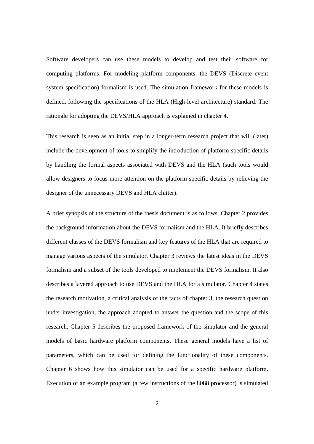Software developers can use these models to develop and test their software for computing platforms. For modeling platform components, the DEVS (Discrete event system specification) formalism is used. The simulation framework for these models is defined, following the specifications of the HLA (High-level architecture) standard. The rationale for adopting the DEVS/HLA approach is explained in chapter 4.

This research is seen as an initial step in a longer-term research project that will (later) include the development of tools to simplify the introduction of platform-specific details by handling the formal aspects associated with DEVS and the HLA (such tools would allow designers to focus more attention on the platform-specific details by relieving the designer of the unnecessary DEVS and HLA clutter).

A brief synopsis of the structure of the thesis document is as follows. Chapter 2 provides the background information about the DEVS formalism and the HLA. It briefly describes different classes of the DEVS formalism and key features of the HLA that are required to manage various aspects of the simulator. Chapter 3 reviews the latest ideas in the DEVS formalism and a subset of the tools developed to implement the DEVS formalism. It also describes a layered approach to use DEVS and the HLA for a simulator. Chapter 4 states the research motivation, a critical analysis of the facts of chapter 3, the research question under investigation, the approach adopted to answer the question and the scope of this research. Chapter 5 describes the proposed framework of the simulator and the general models of basic hardware platform components. These general models have a list of parameters, which can be used for defining the functionality of these components. Chapter 6 shows how this simulator can be used for a specific hardware platform. Execution of an example program (a few instructions of the 8088 processor) is simulated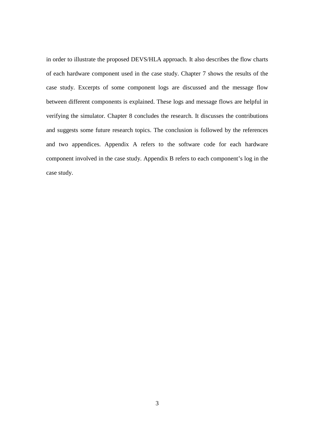in order to illustrate the proposed DEVS/HLA approach. It also describes the flow charts of each hardware component used in the case study. Chapter 7 shows the results of the case study. Excerpts of some component logs are discussed and the message flow between different components is explained. These logs and message flows are helpful in verifying the simulator. Chapter 8 concludes the research. It discusses the contributions and suggests some future research topics. The conclusion is followed by the references and two appendices. Appendix A refers to the software code for each hardware component involved in the case study. Appendix B refers to each component's log in the case study.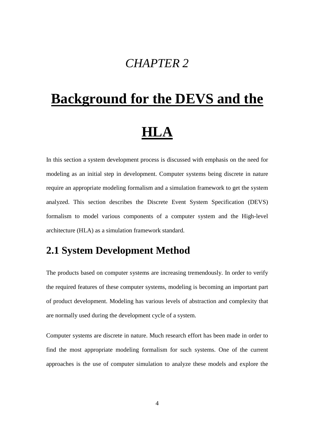## *CHAPTER 2*

# **Background for the DEVS and the HLA**

In this section a system development process is discussed with emphasis on the need for modeling as an initial step in development. Computer systems being discrete in nature require an appropriate modeling formalism and a simulation framework to get the system analyzed. This section describes the Discrete Event System Specification (DEVS) formalism to model various components of a computer system and the High-level architecture (HLA) as a simulation framework standard.

#### **2.1 System Development Method**

The products based on computer systems are increasing tremendously. In order to verify the required features of these computer systems, modeling is becoming an important part of product development. Modeling has various levels of abstraction and complexity that are normally used during the development cycle of a system.

Computer systems are discrete in nature. Much research effort has been made in order to find the most appropriate modeling formalism for such systems. One of the current approaches is the use of computer simulation to analyze these models and explore the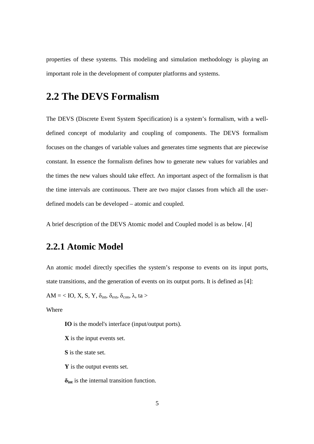properties of these systems. This modeling and simulation methodology is playing an important role in the development of computer platforms and systems.

#### **2.2 The DEVS Formalism**

The DEVS (Discrete Event System Specification) is a system's formalism, with a welldefined concept of modularity and coupling of components. The DEVS formalism focuses on the changes of variable values and generates time segments that are piecewise constant. In essence the formalism defines how to generate new values for variables and the times the new values should take effect. An important aspect of the formalism is that the time intervals are continuous. There are two major classes from which all the userdefined models can be developed – atomic and coupled.

A brief description of the DEVS Atomic model and Coupled model is as below. [4]

#### **2.2.1 Atomic Model**

An atomic model directly specifies the system's response to events on its input ports, state transitions, and the generation of events on its output ports. It is defined as [4]:

AM = < IO, X, S, Y,  $\delta_{\text{int}}$ ,  $\delta_{\text{ext}}$ ,  $\delta_{\text{con}}$ ,  $\lambda$ , ta >

Where

**IO** is the model's interface (input/output ports).

**X** is the input events set.

**S** is the state set.

**Y** is the output events set.

**δint** is the internal transition function.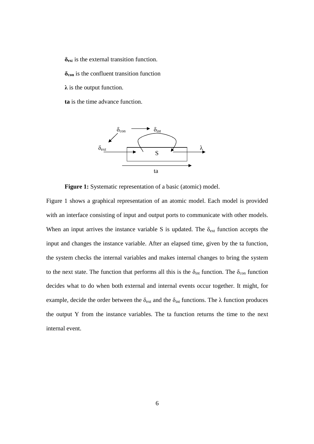**δex**<sup>t</sup> is the external transition function. **δcon** is the confluent transition function

**λ** is the output function.

**ta** is the time advance function.



**Figure 1:** Systematic representation of a basic (atomic) model.

Figure 1 shows a graphical representation of an atomic model. Each model is provided with an interface consisting of input and output ports to communicate with other models. When an input arrives the instance variable S is updated. The  $\delta_{ext}$  function accepts the input and changes the instance variable. After an elapsed time, given by the ta function, the system checks the internal variables and makes internal changes to bring the system to the next state. The function that performs all this is the  $\delta_{int}$  function. The  $\delta_{con}$  function decides what to do when both external and internal events occur together. It might, for example, decide the order between the  $\delta_{ext}$  and the  $\delta_{int}$  functions. The  $\lambda$  function produces the output Y from the instance variables. The ta function returns the time to the next internal event.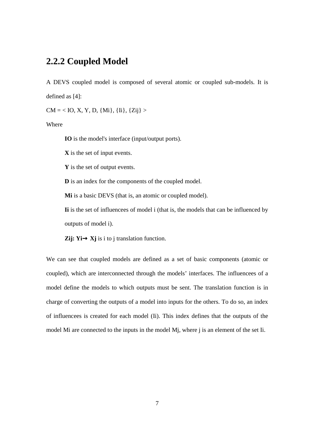#### **2.2.2 Coupled Model**

A DEVS coupled model is composed of several atomic or coupled sub-models. It is defined as [4]:

 $CM = < IO$ , X, Y, D, {Mi}, {Ii}, {Zij} >

Where

**IO** is the model's interface (input/output ports).

**X** is the set of input events.

**Y** is the set of output events.

**D** is an index for the components of the coupled model.

**Mi** is a basic DEVS (that is, an atomic or coupled model).

**Ii** is the set of influencees of model i (that is, the models that can be influenced by outputs of model i).

**Zij:**  $Yi \rightarrow Xj$  is i to j translation function.

We can see that coupled models are defined as a set of basic components (atomic or coupled), which are interconnected through the models' interfaces. The influencees of a model define the models to which outputs must be sent. The translation function is in charge of converting the outputs of a model into inputs for the others. To do so, an index of influencees is created for each model (Ii). This index defines that the outputs of the model Mi are connected to the inputs in the model Mj, where j is an element of the set Ii.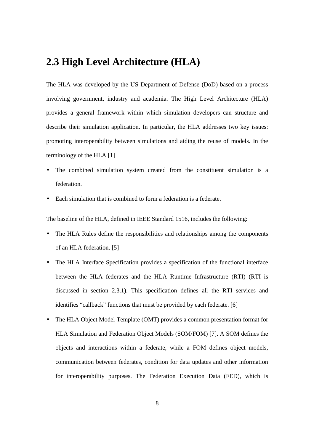#### **2.3 High Level Architecture (HLA)**

The HLA was developed by the US Department of Defense (DoD) based on a process involving government, industry and academia. The High Level Architecture (HLA) provides a general framework within which simulation developers can structure and describe their simulation application. In particular, the HLA addresses two key issues: promoting interoperability between simulations and aiding the reuse of models. In the terminology of the HLA [1]

- The combined simulation system created from the constituent simulation is a federation.
- Each simulation that is combined to form a federation is a federate.

The baseline of the HLA, defined in IEEE Standard 1516, includes the following:

- The HLA Rules define the responsibilities and relationships among the components of an HLA federation. [5]
- The HLA Interface Specification provides a specification of the functional interface between the HLA federates and the HLA Runtime Infrastructure (RTI) (RTI is discussed in section 2.3.1). This specification defines all the RTI services and identifies "callback" functions that must be provided by each federate. [6]
- The HLA Object Model Template (OMT) provides a common presentation format for HLA Simulation and Federation Object Models (SOM/FOM) [7]. A SOM defines the objects and interactions within a federate, while a FOM defines object models, communication between federates, condition for data updates and other information for interoperability purposes. The Federation Execution Data (FED), which is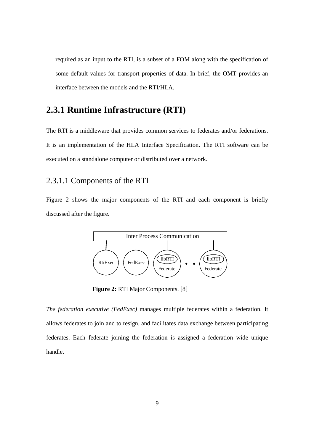required as an input to the RTI, is a subset of a FOM along with the specification of some default values for transport properties of data. In brief, the OMT provides an interface between the models and the RTI/HLA.

#### **2.3.1 Runtime Infrastructure (RTI)**

The RTI is a middleware that provides common services to federates and/or federations. It is an implementation of the HLA Interface Specification. The RTI software can be executed on a standalone computer or distributed over a network.

#### 2.3.1.1 Components of the RTI

Figure 2 shows the major components of the RTI and each component is briefly discussed after the figure.



**Figure 2:** RTI Major Components. [8]

*The federation executive (FedExec)* manages multiple federates within a federation. It allows federates to join and to resign, and facilitates data exchange between participating federates. Each federate joining the federation is assigned a federation wide unique handle.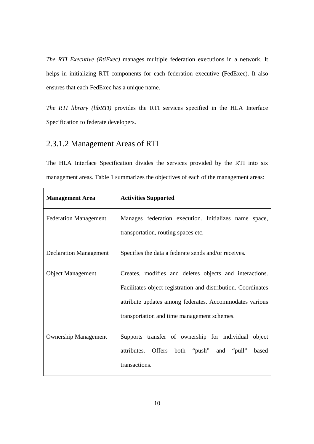*The RTI Executive (RtiExec)* manages multiple federation executions in a network. It helps in initializing RTI components for each federation executive (FedExec). It also ensures that each FedExec has a unique name.

*The RTI library (libRTI)* provides the RTI services specified in the HLA Interface Specification to federate developers.

#### 2.3.1.2 Management Areas of RTI

The HLA Interface Specification divides the services provided by the RTI into six management areas. Table 1 summarizes the objectives of each of the management areas:

| <b>Management Area</b>        | <b>Activities Supported</b>                                                                                                                                                                                                        |
|-------------------------------|------------------------------------------------------------------------------------------------------------------------------------------------------------------------------------------------------------------------------------|
| <b>Federation Management</b>  | Manages federation execution. Initializes name space,<br>transportation, routing spaces etc.                                                                                                                                       |
| <b>Declaration Management</b> | Specifies the data a federate sends and/or receives.                                                                                                                                                                               |
| <b>Object Management</b>      | Creates, modifies and deletes objects and interactions.<br>Facilitates object registration and distribution. Coordinates<br>attribute updates among federates. Accommodates various<br>transportation and time management schemes. |
| <b>Ownership Management</b>   | Supports transfer of ownership for individual object<br>Offers both "push" and "pull" based<br>attributes.<br>transactions.                                                                                                        |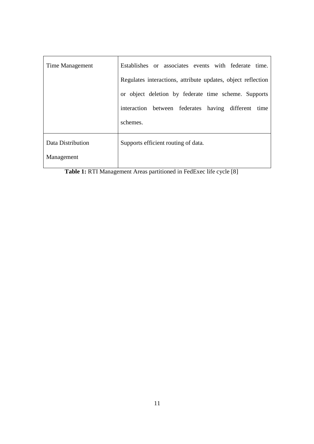| Time Management   | Establishes or associates events with federate time.         |
|-------------------|--------------------------------------------------------------|
|                   | Regulates interactions, attribute updates, object reflection |
|                   | or object deletion by federate time scheme. Supports         |
|                   | interaction between federates having different<br>time       |
|                   | schemes.                                                     |
| Data Distribution | Supports efficient routing of data.                          |
| Management        |                                                              |

**Table 1:** RTI Management Areas partitioned in FedExec life cycle [8]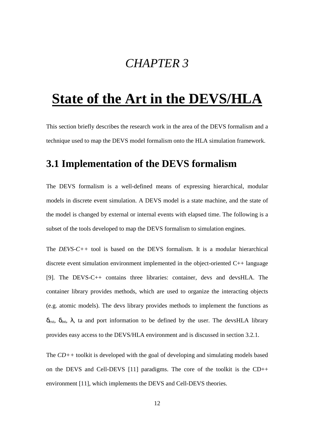## *CHAPTER 3*

## **State of the Art in the DEVS/HLA**

This section briefly describes the research work in the area of the DEVS formalism and a technique used to map the DEVS model formalism onto the HLA simulation framework.

#### **3.1 Implementation of the DEVS formalism**

The DEVS formalism is a well-defined means of expressing hierarchical, modular models in discrete event simulation. A DEVS model is a state machine, and the state of the model is changed by external or internal events with elapsed time. The following is a subset of the tools developed to map the DEVS formalism to simulation engines.

The *DEVS-C++* tool is based on the DEVS formalism. It is a modular hierarchical discrete event simulation environment implemented in the object-oriented C++ language [9]. The DEVS-C++ contains three libraries: container, devs and devsHLA. The container library provides methods, which are used to organize the interacting objects (e.g. atomic models). The devs library provides methods to implement the functions as  $\delta_{\rm ext}$ ,  $\delta_{\rm int}$ ,  $\lambda$ , ta and port information to be defined by the user. The devsHLA library provides easy access to the DEVS/HLA environment and is discussed in section 3.2.1.

The *CD++* toolkit is developed with the goal of developing and simulating models based on the DEVS and Cell-DEVS [11] paradigms. The core of the toolkit is the CD++ environment [11], which implements the DEVS and Cell-DEVS theories.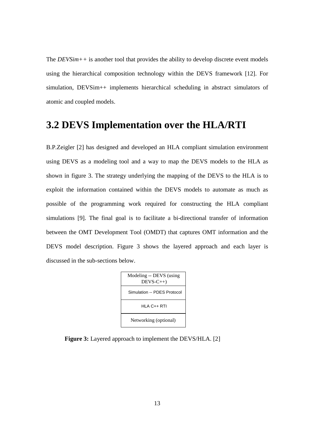The *DEVSim++* is another tool that provides the ability to develop discrete event models using the hierarchical composition technology within the DEVS framework [12]. For simulation, DEVSim++ implements hierarchical scheduling in abstract simulators of atomic and coupled models.

#### **3.2 DEVS Implementation over the HLA/RTI**

B.P.Zeigler [2] has designed and developed an HLA compliant simulation environment using DEVS as a modeling tool and a way to map the DEVS models to the HLA as shown in figure 3. The strategy underlying the mapping of the DEVS to the HLA is to exploit the information contained within the DEVS models to automate as much as possible of the programming work required for constructing the HLA compliant simulations [9]. The final goal is to facilitate a bi-directional transfer of information between the OMT Development Tool (OMDT) that captures OMT information and the DEVS model description. Figure 3 shows the layered approach and each layer is discussed in the sub-sections below.



**Figure 3:** Layered approach to implement the DEVS/HLA. [2]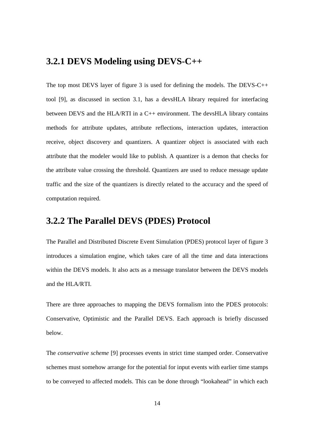#### **3.2.1 DEVS Modeling using DEVS-C++**

The top most DEVS layer of figure 3 is used for defining the models. The DEVS-C++ tool [9], as discussed in section 3.1, has a devsHLA library required for interfacing between DEVS and the HLA/RTI in a C++ environment. The devsHLA library contains methods for attribute updates, attribute reflections, interaction updates, interaction receive, object discovery and quantizers. A quantizer object is associated with each attribute that the modeler would like to publish. A quantizer is a demon that checks for the attribute value crossing the threshold. Quantizers are used to reduce message update traffic and the size of the quantizers is directly related to the accuracy and the speed of computation required.

#### **3.2.2 The Parallel DEVS (PDES) Protocol**

The Parallel and Distributed Discrete Event Simulation (PDES) protocol layer of figure 3 introduces a simulation engine, which takes care of all the time and data interactions within the DEVS models. It also acts as a message translator between the DEVS models and the HLA/RTI.

There are three approaches to mapping the DEVS formalism into the PDES protocols: Conservative, Optimistic and the Parallel DEVS. Each approach is briefly discussed below.

The *conservative scheme* [9] processes events in strict time stamped order. Conservative schemes must somehow arrange for the potential for input events with earlier time stamps to be conveyed to affected models. This can be done through "lookahead" in which each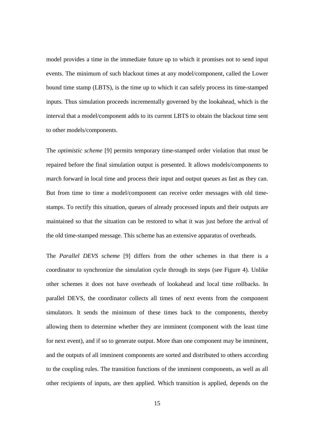model provides a time in the immediate future up to which it promises not to send input events. The minimum of such blackout times at any model/component, called the Lower bound time stamp (LBTS), is the time up to which it can safely process its time-stamped inputs. Thus simulation proceeds incrementally governed by the lookahead, which is the interval that a model/component adds to its current LBTS to obtain the blackout time sent to other models/components.

The *optimistic scheme* [9] permits temporary time-stamped order violation that must be repaired before the final simulation output is presented. It allows models/components to march forward in local time and process their input and output queues as fast as they can. But from time to time a model/component can receive order messages with old timestamps. To rectify this situation, queues of already processed inputs and their outputs are maintained so that the situation can be restored to what it was just before the arrival of the old time-stamped message. This scheme has an extensive apparatus of overheads.

The *Parallel DEVS scheme* [9] differs from the other schemes in that there is a coordinator to synchronize the simulation cycle through its steps (see Figure 4). Unlike other schemes it does not have overheads of lookahead and local time rollbacks. In parallel DEVS, the coordinator collects all times of next events from the component simulators. It sends the minimum of these times back to the components, thereby allowing them to determine whether they are imminent (component with the least time for next event), and if so to generate output. More than one component may be imminent, and the outputs of all imminent components are sorted and distributed to others according to the coupling rules. The transition functions of the imminent components, as well as all other recipients of inputs, are then applied. Which transition is applied, depends on the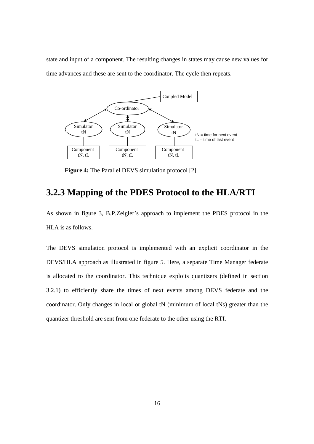state and input of a component. The resulting changes in states may cause new values for time advances and these are sent to the coordinator. The cycle then repeats.



**Figure 4:** The Parallel DEVS simulation protocol [2]

#### **3.2.3 Mapping of the PDES Protocol to the HLA/RTI**

As shown in figure 3, B.P.Zeigler's approach to implement the PDES protocol in the HLA is as follows.

The DEVS simulation protocol is implemented with an explicit coordinator in the DEVS/HLA approach as illustrated in figure 5. Here, a separate Time Manager federate is allocated to the coordinator. This technique exploits quantizers (defined in section 3.2.1) to efficiently share the times of next events among DEVS federate and the coordinator. Only changes in local or global tN (minimum of local tNs) greater than the quantizer threshold are sent from one federate to the other using the RTI.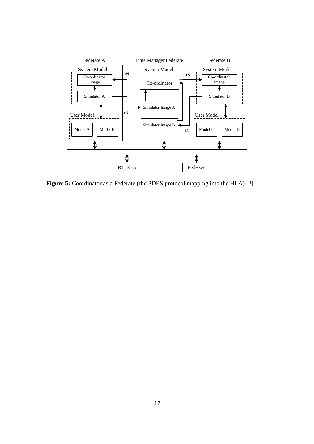

Figure 5: Coordinator as a Federate (the PDES protocol mapping into the HLA) [2]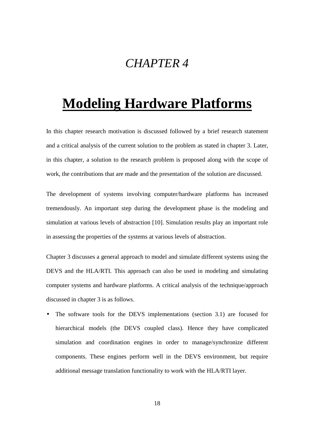## *CHAPTER 4*

# **Modeling Hardware Platforms**

In this chapter research motivation is discussed followed by a brief research statement and a critical analysis of the current solution to the problem as stated in chapter 3. Later, in this chapter, a solution to the research problem is proposed along with the scope of work, the contributions that are made and the presentation of the solution are discussed.

The development of systems involving computer/hardware platforms has increased tremendously. An important step during the development phase is the modeling and simulation at various levels of abstraction [10]. Simulation results play an important role in assessing the properties of the systems at various levels of abstraction.

Chapter 3 discusses a general approach to model and simulate different systems using the DEVS and the HLA/RTI. This approach can also be used in modeling and simulating computer systems and hardware platforms. A critical analysis of the technique/approach discussed in chapter 3 is as follows.

• The software tools for the DEVS implementations (section 3.1) are focused for hierarchical models (the DEVS coupled class). Hence they have complicated simulation and coordination engines in order to manage/synchronize different components. These engines perform well in the DEVS environment, but require additional message translation functionality to work with the HLA/RTI layer.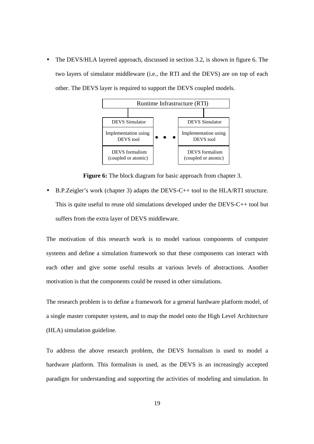• The DEVS/HLA layered approach, discussed in section 3.2, is shown in figure 6. The two layers of simulator middleware (i.e., the RTI and the DEVS) are on top of each other. The DEVS layer is required to support the DEVS coupled models.



**Figure 6:** The block diagram for basic approach from chapter 3.

• B.P.Zeigler's work (chapter 3) adapts the DEVS-C++ tool to the HLA/RTI structure. This is quite useful to reuse old simulations developed under the DEVS-C++ tool but suffers from the extra layer of DEVS middleware.

The motivation of this research work is to model various components of computer systems and define a simulation framework so that these components can interact with each other and give some useful results at various levels of abstractions. Another motivation is that the components could be reused in other simulations.

The research problem is to define a framework for a general hardware platform model, of a single master computer system, and to map the model onto the High Level Architecture (HLA) simulation guideline.

To address the above research problem, the DEVS formalism is used to model a hardware platform. This formalism is used, as the DEVS is an increasingly accepted paradigm for understanding and supporting the activities of modeling and simulation. In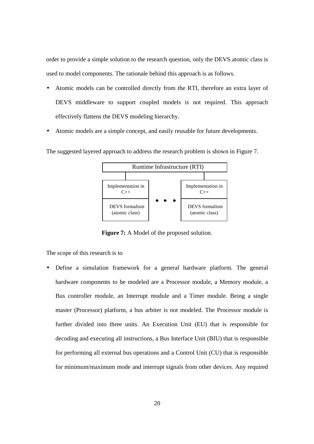order to provide a simple solution to the research question, only the DEVS atomic class is used to model components. The rationale behind this approach is as follows.

- Atomic models can be controlled directly from the RTI, therefore an extra layer of DEVS middleware to support coupled models is not required. This approach effectively flattens the DEVS modeling hierarchy.
- Atomic models are a simple concept, and easily reusable for future developments.

The suggested layered approach to address the research problem is shown in Figure 7.



**Figure 7:** A Model of the proposed solution.

The scope of this research is to

• Define a simulation framework for a general hardware platform. The general hardware components to be modeled are a Processor module, a Memory module, a Bus controller module, an Interrupt module and a Timer module. Being a single master (Processor) platform, a bus arbiter is not modeled. The Processor module is further divided into three units. An Execution Unit (EU) that is responsible for decoding and executing all instructions, a Bus Interface Unit (BIU) that is responsible for performing all external bus operations and a Control Unit (CU) that is responsible for minimum/maximum mode and interrupt signals from other devices. Any required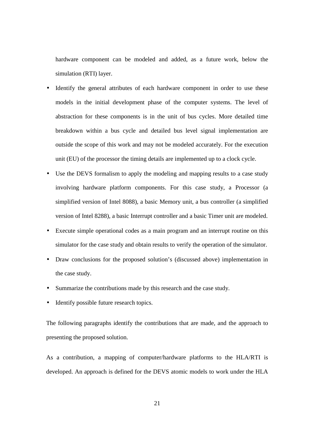hardware component can be modeled and added, as a future work, below the simulation (RTI) layer.

- Identify the general attributes of each hardware component in order to use these models in the initial development phase of the computer systems. The level of abstraction for these components is in the unit of bus cycles. More detailed time breakdown within a bus cycle and detailed bus level signal implementation are outside the scope of this work and may not be modeled accurately. For the execution unit (EU) of the processor the timing details are implemented up to a clock cycle.
- Use the DEVS formalism to apply the modeling and mapping results to a case study involving hardware platform components. For this case study, a Processor (a simplified version of Intel 8088), a basic Memory unit, a bus controller (a simplified version of Intel 8288), a basic Interrupt controller and a basic Timer unit are modeled.
- Execute simple operational codes as a main program and an interrupt routine on this simulator for the case study and obtain results to verify the operation of the simulator.
- Draw conclusions for the proposed solution's (discussed above) implementation in the case study.
- Summarize the contributions made by this research and the case study.
- Identify possible future research topics.

The following paragraphs identify the contributions that are made, and the approach to presenting the proposed solution.

As a contribution, a mapping of computer/hardware platforms to the HLA/RTI is developed. An approach is defined for the DEVS atomic models to work under the HLA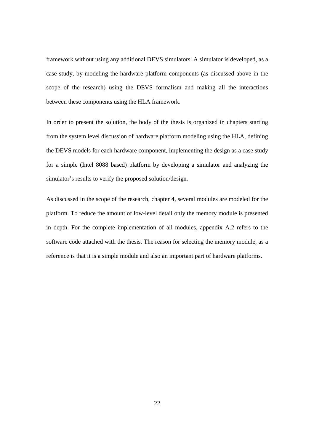framework without using any additional DEVS simulators. A simulator is developed, as a case study, by modeling the hardware platform components (as discussed above in the scope of the research) using the DEVS formalism and making all the interactions between these components using the HLA framework.

In order to present the solution, the body of the thesis is organized in chapters starting from the system level discussion of hardware platform modeling using the HLA, defining the DEVS models for each hardware component, implementing the design as a case study for a simple (Intel 8088 based) platform by developing a simulator and analyzing the simulator's results to verify the proposed solution/design.

As discussed in the scope of the research, chapter 4, several modules are modeled for the platform. To reduce the amount of low-level detail only the memory module is presented in depth. For the complete implementation of all modules, appendix A.2 refers to the software code attached with the thesis. The reason for selecting the memory module, as a reference is that it is a simple module and also an important part of hardware platforms.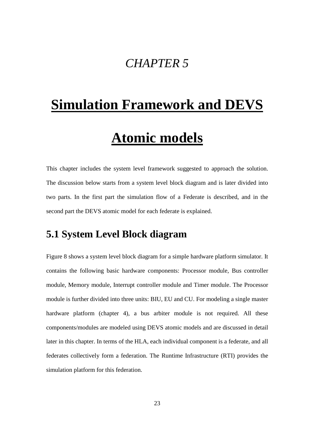# *CHAPTER 5*

# **Simulation Framework and DEVS**

# **Atomic models**

This chapter includes the system level framework suggested to approach the solution. The discussion below starts from a system level block diagram and is later divided into two parts. In the first part the simulation flow of a Federate is described, and in the second part the DEVS atomic model for each federate is explained.

# **5.1 System Level Block diagram**

Figure 8 shows a system level block diagram for a simple hardware platform simulator. It contains the following basic hardware components: Processor module, Bus controller module, Memory module, Interrupt controller module and Timer module. The Processor module is further divided into three units: BIU, EU and CU. For modeling a single master hardware platform (chapter 4), a bus arbiter module is not required. All these components/modules are modeled using DEVS atomic models and are discussed in detail later in this chapter. In terms of the HLA, each individual component is a federate, and all federates collectively form a federation. The Runtime Infrastructure (RTI) provides the simulation platform for this federation.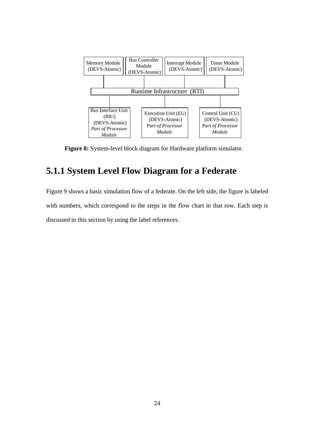

**Figure 8:** System-level block diagram for Hardware platform simulator.

# **5.1.1 System Level Flow Diagram for a Federate**

Figure 9 shows a basic simulation flow of a federate. On the left side, the figure is labeled with numbers, which correspond to the steps in the flow chart in that row. Each step is discussed in this section by using the label references.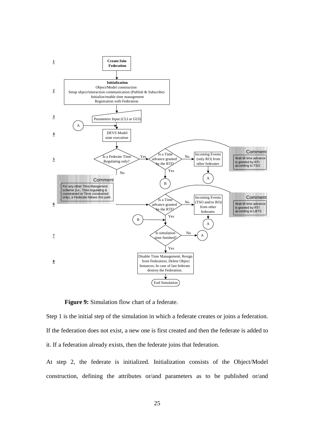

**Figure 9:** Simulation flow chart of a federate.

Step 1 is the initial step of the simulation in which a federate creates or joins a federation. If the federation does not exist, a new one is first created and then the federate is added to it. If a federation already exists, then the federate joins that federation.

At step 2, the federate is initialized. Initialization consists of the Object/Model construction, defining the attributes or/and parameters as to be published or/and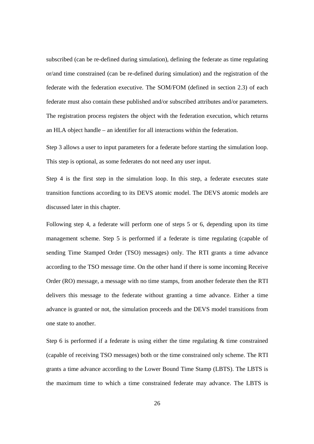subscribed (can be re-defined during simulation), defining the federate as time regulating or/and time constrained (can be re-defined during simulation) and the registration of the federate with the federation executive. The SOM/FOM (defined in section 2.3) of each federate must also contain these published and/or subscribed attributes and/or parameters. The registration process registers the object with the federation execution, which returns an HLA object handle – an identifier for all interactions within the federation.

Step 3 allows a user to input parameters for a federate before starting the simulation loop. This step is optional, as some federates do not need any user input.

Step 4 is the first step in the simulation loop. In this step, a federate executes state transition functions according to its DEVS atomic model. The DEVS atomic models are discussed later in this chapter.

Following step 4, a federate will perform one of steps 5 or 6, depending upon its time management scheme. Step 5 is performed if a federate is time regulating (capable of sending Time Stamped Order (TSO) messages) only. The RTI grants a time advance according to the TSO message time. On the other hand if there is some incoming Receive Order (RO) message, a message with no time stamps, from another federate then the RTI delivers this message to the federate without granting a time advance. Either a time advance is granted or not, the simulation proceeds and the DEVS model transitions from one state to another.

Step 6 is performed if a federate is using either the time regulating  $\&$  time constrained (capable of receiving TSO messages) both or the time constrained only scheme. The RTI grants a time advance according to the Lower Bound Time Stamp (LBTS). The LBTS is the maximum time to which a time constrained federate may advance. The LBTS is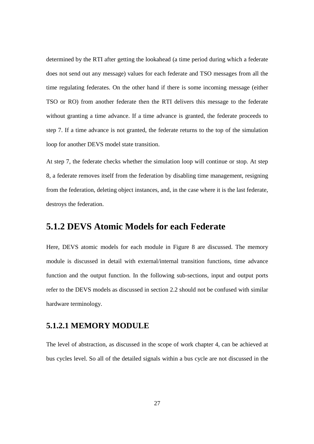determined by the RTI after getting the lookahead (a time period during which a federate does not send out any message) values for each federate and TSO messages from all the time regulating federates. On the other hand if there is some incoming message (either TSO or RO) from another federate then the RTI delivers this message to the federate without granting a time advance. If a time advance is granted, the federate proceeds to step 7. If a time advance is not granted, the federate returns to the top of the simulation loop for another DEVS model state transition.

At step 7, the federate checks whether the simulation loop will continue or stop. At step 8, a federate removes itself from the federation by disabling time management, resigning from the federation, deleting object instances, and, in the case where it is the last federate, destroys the federation.

# **5.1.2 DEVS Atomic Models for each Federate**

Here, DEVS atomic models for each module in Figure 8 are discussed. The memory module is discussed in detail with external/internal transition functions, time advance function and the output function. In the following sub-sections, input and output ports refer to the DEVS models as discussed in section 2.2 should not be confused with similar hardware terminology.

# **5.1.2.1 MEMORY MODULE**

The level of abstraction, as discussed in the scope of work chapter 4, can be achieved at bus cycles level. So all of the detailed signals within a bus cycle are not discussed in the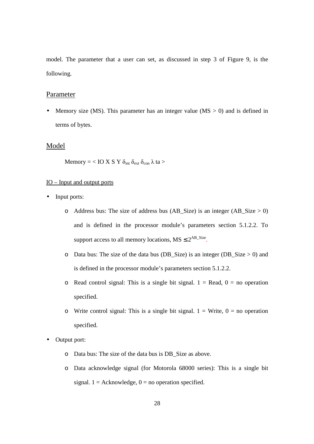model. The parameter that a user can set, as discussed in step 3 of Figure 9, is the following.

#### Parameter

• Memory size (MS). This parameter has an integer value (MS  $>$  0) and is defined in terms of bytes.

#### Model

Memory = < IO X S Y  $\delta_{\text{int}} \delta_{\text{ext}} \delta_{\text{con}} \lambda$  ta >

#### IO – Input and output ports

- Input ports:
	- o Address bus: The size of address bus (AB Size) is an integer (AB Size  $> 0$ ) and is defined in the processor module's parameters section 5.1.2.2. To support access to all memory locations,  $MS \leq 2^{AB\_Size}$ .
	- o Data bus: The size of the data bus (DB Size) is an integer (DB Size  $> 0$ ) and is defined in the processor module's parameters section 5.1.2.2.
	- o Read control signal: This is a single bit signal.  $1 =$  Read,  $0 =$  no operation specified.
	- o Write control signal: This is a single bit signal.  $1 =$  Write,  $0 =$  no operation specified.
- Output port:
	- o Data bus: The size of the data bus is DB\_Size as above.
	- o Data acknowledge signal (for Motorola 68000 series): This is a single bit signal.  $1 = Acknowledge$ ,  $0 = no$  operation specified.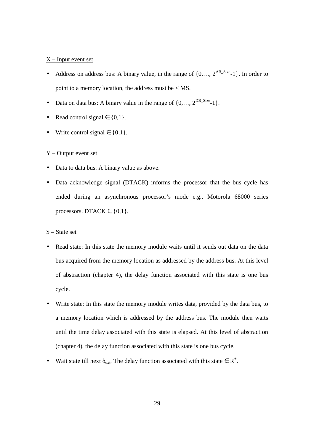#### $X$  – Input event set

- Address on address bus: A binary value, in the range of  $\{0, \ldots, 2^{AB\_Size} 1\}$ . In order to point to a memory location, the address must be < MS.
- Data on data bus: A binary value in the range of  $\{0, \ldots, 2^{DB\_Size-1}\}.$
- Read control signal  $\in \{0,1\}$ .
- Write control signal  $\in \{0,1\}$ .

#### Y – Output event set

- Data to data bus: A binary value as above.
- Data acknowledge signal (DTACK) informs the processor that the bus cycle has ended during an asynchronous processor's mode e.g., Motorola 68000 series processors. DTACK  $\in \{0,1\}$ .

#### S – State set

- Read state: In this state the memory module waits until it sends out data on the data bus acquired from the memory location as addressed by the address bus. At this level of abstraction (chapter 4), the delay function associated with this state is one bus cycle.
- Write state: In this state the memory module writes data, provided by the data bus, to a memory location which is addressed by the address bus. The module then waits until the time delay associated with this state is elapsed. At this level of abstraction (chapter 4), the delay function associated with this state is one bus cycle.
- Wait state till next  $\delta_{ext}$ . The delay function associated with this state  $\in R^+$ .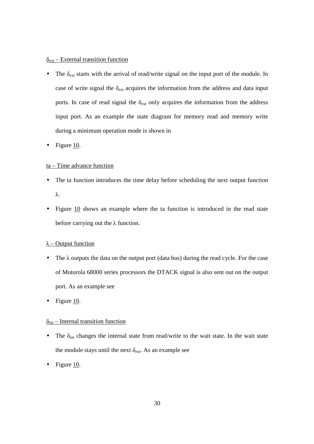#### $\delta_{\text{ext}}$  – External transition function

- The  $\delta_{\text{ext}}$  starts with the arrival of read/write signal on the input port of the module. In case of write signal the  $\delta_{ext}$  acquires the information from the address and data input ports. In case of read signal the  $\delta_{ext}$  only acquires the information from the address input port. As an example the state diagram for memory read and memory write during a minimum operation mode is shown in
- Figure 10.

#### ta – Time advance function

- The ta function introduces the time delay before scheduling the next output function λ.
- Figure  $10$  shows an example where the ta function is introduced in the read state before carrying out the  $\lambda$  function.

#### $\lambda$  – Output function

- The  $\lambda$  outputs the data on the output port (data bus) during the read cycle. For the case of Motorola 68000 series processors the DTACK signal is also sent out on the output port. As an example see
- Figure 10.

#### $\delta_{int}$  – Internal transition function

- The  $\delta_{int}$  changes the internal state from read/write to the wait state. In the wait state the module stays until the next  $\delta_{ext}$ . As an example see
- Figure 10.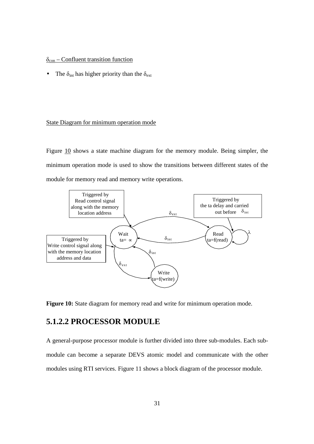#### $\delta_{\text{con}}$  – Confluent transition function

• The  $\delta_{\text{int}}$  has higher priority than the  $\delta_{\text{ext}}$ 

#### State Diagram for minimum operation mode

Figure 10 shows a state machine diagram for the memory module. Being simpler, the minimum operation mode is used to show the transitions between different states of the module for memory read and memory write operations.



**Figure 10:** State diagram for memory read and write for minimum operation mode.

## **5.1.2.2 PROCESSOR MODULE**

A general-purpose processor module is further divided into three sub-modules. Each submodule can become a separate DEVS atomic model and communicate with the other modules using RTI services. Figure 11 shows a block diagram of the processor module.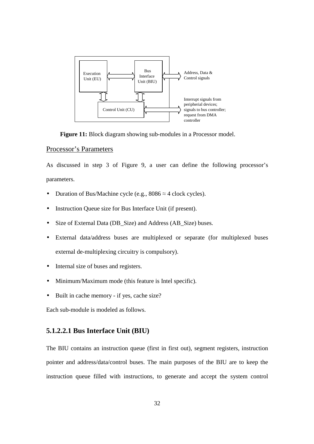

**Figure 11:** Block diagram showing sub-modules in a Processor model.

#### Processor's Parameters

As discussed in step 3 of Figure 9, a user can define the following processor's parameters.

- Duration of Bus/Machine cycle (e.g.,  $8086 \approx 4$  clock cycles).
- Instruction Queue size for Bus Interface Unit (if present).
- Size of External Data (DB\_Size) and Address (AB\_Size) buses.
- External data/address buses are multiplexed or separate (for multiplexed buses external de-multiplexing circuitry is compulsory).
- Internal size of buses and registers.
- Minimum/Maximum mode (this feature is Intel specific).
- Built in cache memory if yes, cache size?

Each sub-module is modeled as follows.

## **5.1.2.2.1 Bus Interface Unit (BIU)**

The BIU contains an instruction queue (first in first out), segment registers, instruction pointer and address/data/control buses. The main purposes of the BIU are to keep the instruction queue filled with instructions, to generate and accept the system control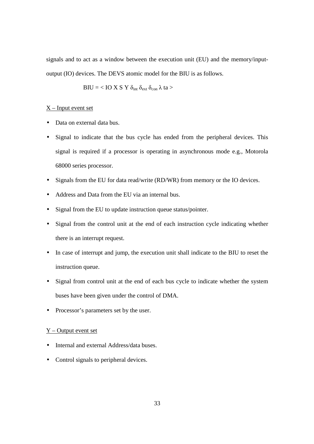signals and to act as a window between the execution unit (EU) and the memory/inputoutput (IO) devices. The DEVS atomic model for the BIU is as follows.

$$
BIU =
$$

#### $X$  – Input event set

- Data on external data bus.
- Signal to indicate that the bus cycle has ended from the peripheral devices. This signal is required if a processor is operating in asynchronous mode e.g., Motorola 68000 series processor.
- Signals from the EU for data read/write (RD/WR) from memory or the IO devices.
- Address and Data from the EU via an internal bus.
- Signal from the EU to update instruction queue status/pointer.
- Signal from the control unit at the end of each instruction cycle indicating whether there is an interrupt request.
- In case of interrupt and jump, the execution unit shall indicate to the BIU to reset the instruction queue.
- Signal from control unit at the end of each bus cycle to indicate whether the system buses have been given under the control of DMA.
- Processor's parameters set by the user.

#### $Y$  – Output event set

- Internal and external Address/data buses.
- Control signals to peripheral devices.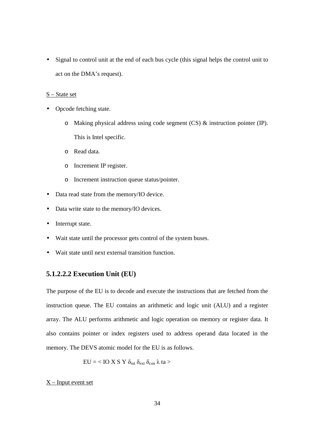• Signal to control unit at the end of each bus cycle (this signal helps the control unit to act on the DMA's request).

#### S – State set

- Opcode fetching state.
	- o Making physical address using code segment (CS) & instruction pointer (IP). This is Intel specific.
	- o Read data.
	- o Increment IP register.
	- o Increment instruction queue status/pointer.
- Data read state from the memory/IO device.
- Data write state to the memory/IO devices.
- Interrupt state.
- Wait state until the processor gets control of the system buses.
- Wait state until next external transition function.

### **5.1.2.2.2 Execution Unit (EU)**

The purpose of the EU is to decode and execute the instructions that are fetched from the instruction queue. The EU contains an arithmetic and logic unit (ALU) and a register array. The ALU performs arithmetic and logic operation on memory or register data. It also contains pointer or index registers used to address operand data located in the memory. The DEVS atomic model for the EU is as follows.

$$
EU =
$$

#### $X$  – Input event set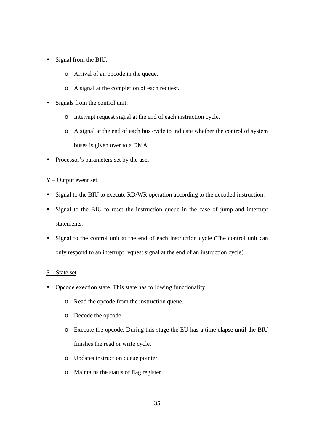- Signal from the BIU:
	- o Arrival of an opcode in the queue.
	- o A signal at the completion of each request.
- Signals from the control unit:
	- o Interrupt request signal at the end of each instruction cycle.
	- o A signal at the end of each bus cycle to indicate whether the control of system buses is given over to a DMA.
- Processor's parameters set by the user.

#### Y – Output event set

- Signal to the BIU to execute RD/WR operation according to the decoded instruction.
- Signal to the BIU to reset the instruction queue in the case of jump and interrupt statements.
- Signal to the control unit at the end of each instruction cycle (The control unit can only respond to an interrupt request signal at the end of an instruction cycle).

#### S – State set

- Opcode exection state. This state has following functionality.
	- o Read the opcode from the instruction queue.
	- o Decode the opcode.
	- o Execute the opcode. During this stage the EU has a time elapse until the BIU finishes the read or write cycle.
	- o Updates instruction queue pointer.
	- o Maintains the status of flag register.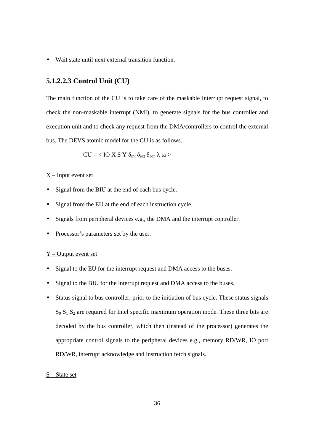• Wait state until next external transition function.

## **5.1.2.2.3 Control Unit (CU)**

The main function of the CU is to take care of the maskable interrupt request signal, to check the non-maskable interrupt (NMI), to generate signals for the bus controller and execution unit and to check any request from the DMA/controllers to control the external bus. The DEVS atomic model for the CU is as follows.

$$
CU = < IO~X~S~Y~\delta_{int}~\delta_{ext}~\delta_{con}~\lambda~ta>
$$

#### $X$  – Input event set

- Signal from the BIU at the end of each bus cycle.
- Signal from the EU at the end of each instruction cycle.
- Signals from peripheral devices e.g., the DMA and the interrupt controller.
- Processor's parameters set by the user.

#### Y – Output event set

- Signal to the EU for the interrupt request and DMA access to the buses.
- Signal to the BIU for the interrupt request and DMA access to the buses.
- Status signal to bus controller, prior to the initiation of bus cycle. These status signals  $S_0 S_1 S_2$  are required for Intel specific maximum operation mode. These three bits are decoded by the bus controller, which then (instead of the processor) generates the appropriate control signals to the peripheral devices e.g., memory RD/WR, IO port RD/WR, interrupt acknowledge and instruction fetch signals.

#### S – State set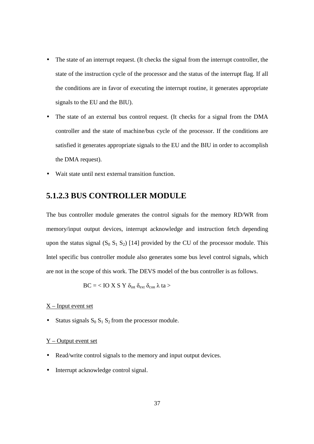- The state of an interrupt request. (It checks the signal from the interrupt controller, the state of the instruction cycle of the processor and the status of the interrupt flag. If all the conditions are in favor of executing the interrupt routine, it generates appropriate signals to the EU and the BIU).
- The state of an external bus control request. (It checks for a signal from the DMA controller and the state of machine/bus cycle of the processor. If the conditions are satisfied it generates appropriate signals to the EU and the BIU in order to accomplish the DMA request).
- Wait state until next external transition function.

## **5.1.2.3 BUS CONTROLLER MODULE**

The bus controller module generates the control signals for the memory RD/WR from memory/input output devices, interrupt acknowledge and instruction fetch depending upon the status signal  $(S_0 S_1 S_2)$  [14] provided by the CU of the processor module. This Intel specific bus controller module also generates some bus level control signals, which are not in the scope of this work. The DEVS model of the bus controller is as follows.

$$
BC =
$$

#### X – Input event set

• Status signals  $S_0 S_1 S_2$  from the processor module.

#### Y – Output event set

- Read/write control signals to the memory and input output devices.
- Interrupt acknowledge control signal.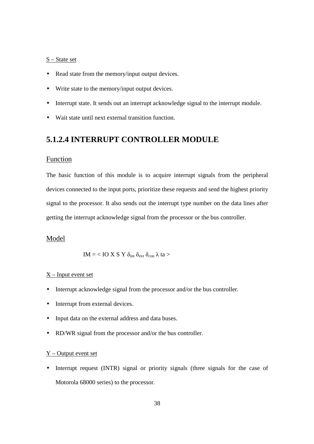#### S – State set

- Read state from the memory/input output devices.
- Write state to the memory/input output devices.
- Interrupt state. It sends out an interrupt acknowledge signal to the interrupt module.
- Wait state until next external transition function.

## **5.1.2.4 INTERRUPT CONTROLLER MODULE**

#### Function

The basic function of this module is to acquire interrupt signals from the peripheral devices connected to the input ports, prioritize these requests and send the highest priority signal to the processor. It also sends out the interrupt type number on the data lines after getting the interrupt acknowledge signal from the processor or the bus controller.

#### Model

$$
IM =
$$

#### X – Input event set

- Interrupt acknowledge signal from the processor and/or the bus controller.
- Interrupt from external devices.
- Input data on the external address and data buses.
- RD/WR signal from the processor and/or the bus controller.

#### $Y$  – Output event set

• Interrupt request (INTR) signal or priority signals (three signals for the case of Motorola 68000 series) to the processor.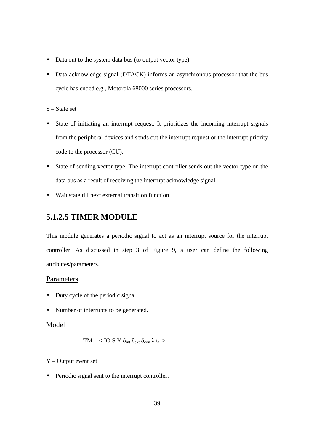- Data out to the system data bus (to output vector type).
- Data acknowledge signal (DTACK) informs an asynchronous processor that the bus cycle has ended e.g., Motorola 68000 series processors.

#### S – State set

- State of initiating an interrupt request. It prioritizes the incoming interrupt signals from the peripheral devices and sends out the interrupt request or the interrupt priority code to the processor (CU).
- State of sending vector type. The interrupt controller sends out the vector type on the data bus as a result of receiving the interrupt acknowledge signal.
- Wait state till next external transition function.

## **5.1.2.5 TIMER MODULE**

This module generates a periodic signal to act as an interrupt source for the interrupt controller. As discussed in step 3 of Figure 9, a user can define the following attributes/parameters.

#### Parameters

- Duty cycle of the periodic signal.
- Number of interrupts to be generated.

### Model

$$
TM =
$$

#### Y – Output event set

• Periodic signal sent to the interrupt controller.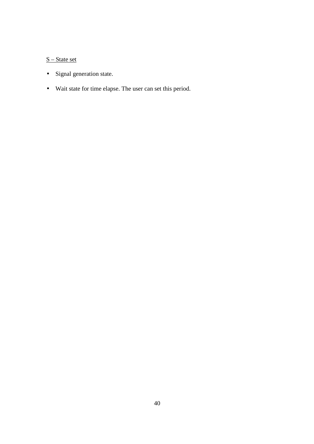# S – State set

- Signal generation state.
- Wait state for time elapse. The user can set this period.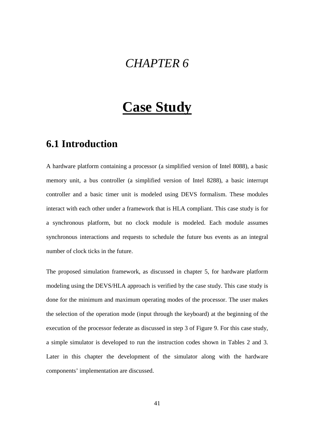# *CHAPTER 6*

# **Case Study**

# **6.1 Introduction**

A hardware platform containing a processor (a simplified version of Intel 8088), a basic memory unit, a bus controller (a simplified version of Intel 8288), a basic interrupt controller and a basic timer unit is modeled using DEVS formalism. These modules interact with each other under a framework that is HLA compliant. This case study is for a synchronous platform, but no clock module is modeled. Each module assumes synchronous interactions and requests to schedule the future bus events as an integral number of clock ticks in the future.

The proposed simulation framework, as discussed in chapter 5, for hardware platform modeling using the DEVS/HLA approach is verified by the case study. This case study is done for the minimum and maximum operating modes of the processor. The user makes the selection of the operation mode (input through the keyboard) at the beginning of the execution of the processor federate as discussed in step 3 of Figure 9. For this case study, a simple simulator is developed to run the instruction codes shown in Tables 2 and 3. Later in this chapter the development of the simulator along with the hardware components' implementation are discussed.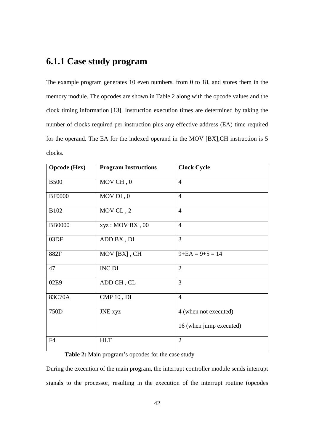# **6.1.1 Case study program**

The example program generates 10 even numbers, from 0 to 18, and stores them in the memory module. The opcodes are shown in Table 2 along with the opcode values and the clock timing information [13]. Instruction execution times are determined by taking the number of clocks required per instruction plus any effective address (EA) time required for the operand. The EA for the indexed operand in the MOV [BX],CH instruction is 5 clocks.

| <b>Opcode</b> (Hex) | <b>Program Instructions</b> | <b>Clock Cycle</b>      |
|---------------------|-----------------------------|-------------------------|
| <b>B500</b>         | MOV CH, 0                   | $\overline{4}$          |
| <b>BF0000</b>       | MOV DI, 0                   | $\overline{4}$          |
| <b>B102</b>         | MOV CL, 2                   | $\overline{4}$          |
| <b>BB0000</b>       | $xyz: text{MOV BX}$ , 00    | $\overline{4}$          |
| 03DF                | ADD BX, DI                  | $\overline{3}$          |
| 882F                | MOV [BX], CH                | $9 + EA = 9 + 5 = 14$   |
| 47                  | <b>INC DI</b>               | $\overline{2}$          |
| 02E9                | ADD CH, CL                  | $\overline{3}$          |
| 83C70A              | CMP 10, DI                  | $\overline{4}$          |
| 750D                | JNE xyz                     | 4 (when not executed)   |
|                     |                             | 16 (when jump executed) |
| F <sub>4</sub>      | <b>HLT</b>                  | $\overline{2}$          |

**Table 2:** Main program's opcodes for the case study

During the execution of the main program, the interrupt controller module sends interrupt signals to the processor, resulting in the execution of the interrupt routine (opcodes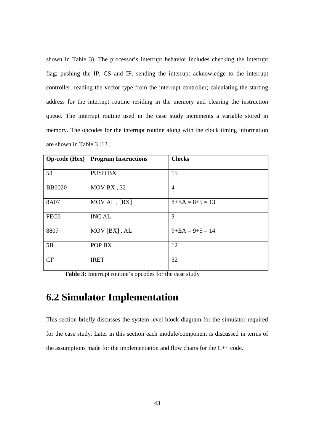shown in Table 3). The processor's interrupt behavior includes checking the interrupt flag; pushing the IP, CS and IF; sending the interrupt acknowledge to the interrupt controller; reading the vector type from the interrupt controller; calculating the starting address for the interrupt routine residing in the memory and clearing the instruction queue. The interrupt routine used in the case study increments a variable stored in memory. The opcodes for the interrupt routine along with the clock timing information are shown in Table 3 [13].

| <b>Op-code</b> (Hex) | <b>Program Instructions</b> | <b>Clocks</b>         |
|----------------------|-----------------------------|-----------------------|
|                      |                             |                       |
| 53                   | <b>PUSH BX</b>              | 15                    |
|                      |                             |                       |
| <b>BB0020</b>        | MOV BX, 32                  | 4                     |
| 8A07                 | MOV AL, [BX]                | $8 + EA = 8 + 5 = 13$ |
|                      |                             |                       |
| FEC <sub>0</sub>     | <b>INC AL</b>               | 3                     |
|                      |                             |                       |
| 8807                 | MOV [BX], AL                | $9 + EA = 9 + 5 = 14$ |
|                      |                             |                       |
| 5B                   | POP BX                      | 12                    |
|                      |                             |                       |
| CF                   | <b>IRET</b>                 | 32                    |
|                      |                             |                       |

Table 3: Interrupt routine's opcodes for the case study

# **6.2 Simulator Implementation**

This section briefly discusses the system level block diagram for the simulator required for the case study. Later in this section each module/component is discussed in terms of the assumptions made for the implementation and flow charts for the C++ code.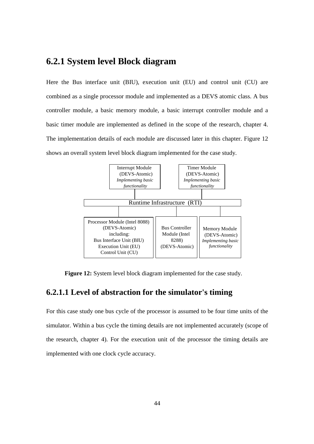# **6.2.1 System level Block diagram**

Here the Bus interface unit (BIU), execution unit (EU) and control unit (CU) are combined as a single processor module and implemented as a DEVS atomic class. A bus controller module, a basic memory module, a basic interrupt controller module and a basic timer module are implemented as defined in the scope of the research, chapter 4. The implementation details of each module are discussed later in this chapter. Figure 12 shows an overall system level block diagram implemented for the case study.



**Figure 12:** System level block diagram implemented for the case study.

# **6.2.1.1 Level of abstraction for the simulator's timing**

For this case study one bus cycle of the processor is assumed to be four time units of the simulator. Within a bus cycle the timing details are not implemented accurately (scope of the research, chapter 4). For the execution unit of the processor the timing details are implemented with one clock cycle accuracy.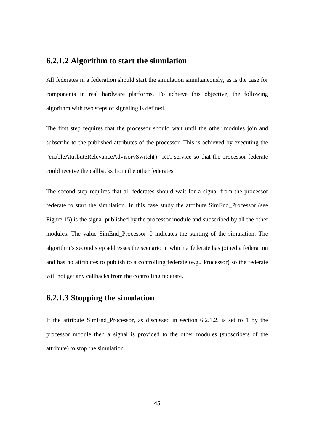### **6.2.1.2 Algorithm to start the simulation**

All federates in a federation should start the simulation simultaneously, as is the case for components in real hardware platforms. To achieve this objective, the following algorithm with two steps of signaling is defined.

The first step requires that the processor should wait until the other modules join and subscribe to the published attributes of the processor. This is achieved by executing the "enableAttributeRelevanceAdvisorySwitch()" RTI service so that the processor federate could receive the callbacks from the other federates.

The second step requires that all federates should wait for a signal from the processor federate to start the simulation. In this case study the attribute SimEnd\_Processor (see Figure 15) is the signal published by the processor module and subscribed by all the other modules. The value SimEnd\_Processor=0 indicates the starting of the simulation. The algorithm's second step addresses the scenario in which a federate has joined a federation and has no attributes to publish to a controlling federate (e.g., Processor) so the federate will not get any callbacks from the controlling federate.

# **6.2.1.3 Stopping the simulation**

If the attribute SimEnd\_Processor, as discussed in section 6.2.1.2, is set to 1 by the processor module then a signal is provided to the other modules (subscribers of the attribute) to stop the simulation.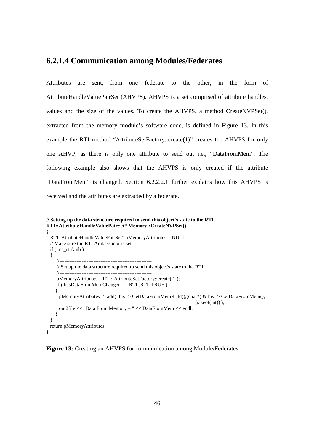## **6.2.1.4 Communication among Modules/Federates**

Attributes are sent, from one federate to the other, in the form of AttributeHandleValuePairSet (AHVPS). AHVPS is a set comprised of attribute handles, values and the size of the values. To create the AHVPS, a method CreateNVPSet(), extracted from the memory module's software code, is defined in Figure 13. In this example the RTI method "AttributeSetFactory::create(1)" creates the AHVPS for only one AHVP, as there is only one attribute to send out i.e., "DataFromMem". The following example also shows that the AHVPS is only created if the attribute "DataFromMem" is changed. Section 6.2.2.2.1 further explains how this AHVPS is received and the attributes are extracted by a federate.

\_\_\_\_\_\_\_\_\_\_\_\_\_\_\_\_\_\_\_\_\_\_\_\_\_\_\_\_\_\_\_\_\_\_\_\_\_\_\_\_\_\_\_\_\_\_\_\_\_\_\_\_\_\_\_\_\_\_\_\_\_\_\_\_\_\_\_\_\_\_

```
// Setting up the data structure required to send this object's state to the RTI. 
RTI::AttributeHandleValuePairSet* Memory::CreateNVPSet()
```

```
{ 
  RTI::AttributeHandleValuePairSet* pMemoryAttributes = NULL; 
  // Make sure the RTI Ambassador is set. 
  if ( ms_rtiAmb ) 
   { 
      //------------------------------------------------------ 
      // Set up the data structure required to send this object's state to the RTI. 
      //------------------------------------------------------ 
      pMemoryAttributes = RTI::AttributeSetFactory::create( 1 ); 
      if ( hasDataFromMemChanged == RTI::RTI_TRUE ) 
      { 
       pMemoryAttributes -> add( this -> GetDataFromMemRtiId(),(char*) &this -> GetDataFromMem(), 
                                                                               (sizeof(int)) );
       out2file << "Data From Memory = " << DataFromMem << endl; 
     } 
   } 
  return pMemoryAttributes; 
}
```
\_\_\_\_\_\_\_\_\_\_\_\_\_\_\_\_\_\_\_\_\_\_\_\_\_\_\_\_\_\_\_\_\_\_\_\_\_\_\_\_\_\_\_\_\_\_\_\_\_\_\_\_\_\_\_\_\_\_\_\_\_\_\_\_\_\_\_\_\_\_

**Figure 13:** Creating an AHVPS for communication among Module/Federates.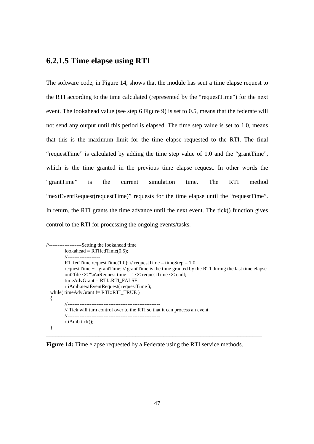# **6.2.1.5 Time elapse using RTI**

The software code, in Figure 14, shows that the module has sent a time elapse request to the RTI according to the time calculated (represented by the "requestTime") for the next event. The lookahead value (see step 6 Figure 9) is set to 0.5, means that the federate will not send any output until this period is elapsed. The time step value is set to 1.0, means that this is the maximum limit for the time elapse requested to the RTI. The final "requestTime" is calculated by adding the time step value of 1.0 and the "grantTime", which is the time granted in the previous time elapse request. In other words the "grantTime" is the current simulation time. The RTI method "nextEventRequest(requestTime)" requests for the time elapse until the "requestTime". In return, the RTI grants the time advance until the next event. The tick() function gives control to the RTI for processing the ongoing events/tasks.

```
______________________________________________________________________ 
//-------------------Setting the lookahead time 
        look ahead = RTIfedTime(0.5); //------------------- 
         RTIfedTime requestTime(1.0); // requestTime = timeStep = 1.0request Time \pm = grantTime; // grantTime is the time granted by the RTI during the last time elapse
         out2file << "\n\nRequest time = " << requestTime << endl;
         timeAdvGrant = RTI::RTI_FALSE;
          rtiAmb.nextEventRequest( requestTime ); 
 while(timeAdvGrant != RTI::RTI_TRUE)
   { 
          //------------------------------------------------------ 
         // Tick will turn control over to the RTI so that it can process an event. 
         //------------------------------------------------------ 
          rtiAmb.tick(); 
  }
```
\_\_\_\_\_\_\_\_\_\_\_\_\_\_\_\_\_\_\_\_\_\_\_\_\_\_\_\_\_\_\_\_\_\_\_\_\_\_\_\_\_\_\_\_\_\_\_\_\_\_\_\_\_\_\_\_\_\_\_\_\_\_\_\_\_\_\_\_\_\_

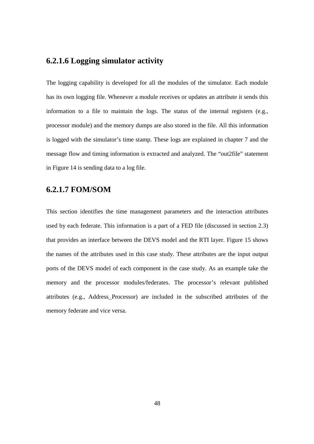# **6.2.1.6 Logging simulator activity**

The logging capability is developed for all the modules of the simulator. Each module has its own logging file. Whenever a module receives or updates an attribute it sends this information to a file to maintain the logs. The status of the internal registers (e.g., processor module) and the memory dumps are also stored in the file. All this information is logged with the simulator's time stamp. These logs are explained in chapter 7 and the message flow and timing information is extracted and analyzed. The "out2file" statement in Figure 14 is sending data to a log file.

## **6.2.1.7 FOM/SOM**

This section identifies the time management parameters and the interaction attributes used by each federate. This information is a part of a FED file (discussed in section 2.3) that provides an interface between the DEVS model and the RTI layer. Figure 15 shows the names of the attributes used in this case study. These attributes are the input output ports of the DEVS model of each component in the case study. As an example take the memory and the processor modules/federates. The processor's relevant published attributes (e.g., Address\_Processor) are included in the subscribed attributes of the memory federate and vice versa.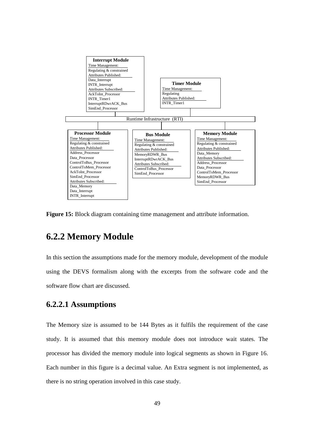

**Figure 15:** Block diagram containing time management and attribute information.

# **6.2.2 Memory Module**

In this section the assumptions made for the memory module, development of the module using the DEVS formalism along with the excerpts from the software code and the software flow chart are discussed.

# **6.2.2.1 Assumptions**

The Memory size is assumed to be 144 Bytes as it fulfils the requirement of the case study. It is assumed that this memory module does not introduce wait states. The processor has divided the memory module into logical segments as shown in Figure 16. Each number in this figure is a decimal value. An Extra segment is not implemented, as there is no string operation involved in this case study.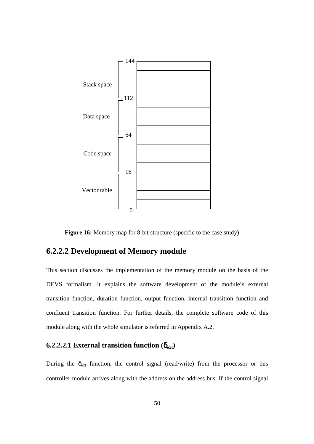

**Figure 16:** Memory map for 8-bit structure (specific to the case study)

# **6.2.2.2 Development of Memory module**

This section discusses the implementation of the memory module on the basis of the DEVS formalism. It explains the software development of the module's external transition function, duration function, output function, internal transition function and confluent transition function. For further details, the complete software code of this module along with the whole simulator is referred in Appendix A.2.

## **6.2.2.2.1 External transition function**  $(\delta_{ext})$

During the  $\delta_{ext}$  function, the control signal (read/write) from the processor or bus controller module arrives along with the address on the address bus. If the control signal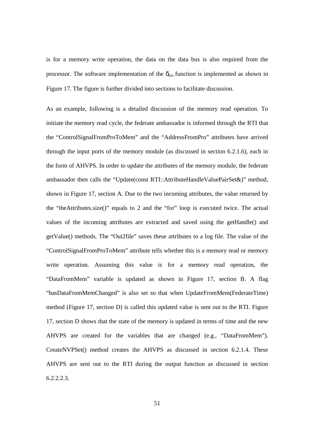is for a memory write operation, the data on the data bus is also required from the processor. The software implementation of the  $\delta_{ext}$  function is implemented as shown in Figure 17. The figure is further divided into sections to facilitate discussion.

As an example, following is a detailed discussion of the memory read operation. To initiate the memory read cycle, the federate ambassador is informed through the RTI that the "ControlSignalFromProToMem" and the "AddressFromPro" attributes have arrived through the input ports of the memory module (as discussed in section 6.2.1.6), each in the form of AHVPS. In order to update the attributes of the memory module, the federate ambassador then calls the "Update(const RTI::AttributeHandleValuePairSet&)" method, shown in Figure 17, section A. Due to the two incoming attributes, the value returned by the "theAttributes.size()" equals to 2 and the "for" loop is executed twice. The actual values of the incoming attributes are extracted and saved using the getHandle() and getValue() methods. The "Out2file" saves these attributes to a log file. The value of the "ControlSignalFromProToMem" attribute tells whether this is a memory read or memory write operation. Assuming this value is for a memory read operation, the "DataFromMem" variable is updated as shown in Figure 17, section B. A flag "hasDataFromMemChanged" is also set so that when UpdateFromMem(FederateTime) method (Figure 17, section D) is called this updated value is sent out to the RTI. Figure 17, section D shows that the state of the memory is updated in terms of time and the new AHVPS are created for the variables that are changed (e.g., "DataFromMem"). CreateNVPSet() method creates the AHVPS as discussed in section 6.2.1.4. These AHVPS are sent out to the RTI during the output function as discussed in section 6.2.2.2.3.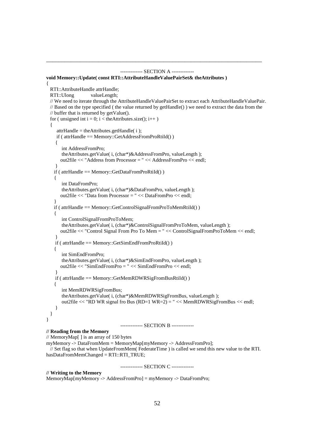```
------------- SECTION A ------------- 
void Memory::Update( const RTI::AttributeHandleValuePairSet& theAttributes ) 
{ 
  RTI::AttributeHandle attrHandle; 
  RTI::Ulong valueLength; 
  // We need to iterate through the AttributeHandleValuePairSet to extract each AttributeHandleValuePair. 
  // Based on the type specified ( the value returned by getHandle() ) we need to extract the data from the 
  // buffer that is returned by getValue(). 
 for ( unsigned int i = 0; i < the Attributes size(); i++)
 { 
     attrHandle = theAttributes.getHandle( i ); 
     if ( attrHandle == Memory::GetAddressFromProRtiId() ) 
\{ int AddressFromPro; 
        theAttributes.getValue( i, (char*)&AddressFromPro, valueLength ); 
       out2file << "Address from Processor = " << AddressFromPro << endl; 
 } 
    if ( attrHandle == Memory::GetDataFromProRtiId() ) 
    { 
        int DataFromPro; 
        theAttributes.getValue( i, (char*)&DataFromPro, valueLength ); 
       out2file << "Data from Processor = " << DataFromPro << endl; 
 } 
    if ( attrHandle == Memory::GetControlSignalFromProToMemRtiId() ) 
    { 
        int ControlSignalFromProToMem; 
        theAttributes.getValue( i, (char*)&ControlSignalFromProToMem, valueLength ); 
       out2file << "Control Signal From Pro To Mem = " << ControlSignalFromProToMem << endl; 
 } 
    if ( attrHandle == Memory::GetSimEndFromProRtiId() ) 
\left\{\right. int SimEndFromPro; 
        theAttributes.getValue( i, (char*)&SimEndFromPro, valueLength ); 
       out2file << "SimEndFromPro = " << SimEndFromPro << endl; 
 } 
    if ( attrHandle == Memory::GetMemRDWRSigFromBusRtiId() ) 
    { 
        int MemRDWRSigFromBus; 
        theAttributes.getValue( i, (char*)&MemRDWRSigFromBus, valueLength ); 
        out2file << "RD WR signal fro Bus (RD=1 WR=2) = " << MemRDWRSigFromBus << endl; 
     } 
  } 
} 
                                   ------------- SECTION B ------------- 
// Reading from the Memory 
// MemoryMap[ ] is an array of 150 bytes
```
\_\_\_\_\_\_\_\_\_\_\_\_\_\_\_\_\_\_\_\_\_\_\_\_\_\_\_\_\_\_\_\_\_\_\_\_\_\_\_\_\_\_\_\_\_\_\_\_\_\_\_\_\_\_\_\_\_\_\_\_\_\_\_\_\_\_\_\_\_\_

```
myMemory -> DataFromMem = MemoryMap[myMemory -> AddressFromPro];
```
 // Set flag so that when UpdateFromMem( FederateTime ) is called we send this new value to the RTI. hasDataFromMemChanged = RTI::RTI\_TRUE;

------------- SECTION C -------------

#### **// Writing to the Memory**

MemoryMap[myMemory -> AddressFromPro] = myMemory -> DataFromPro;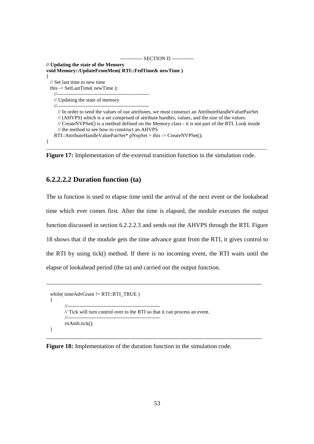```
------------- SECTION D ------------- 
// Updating the state of the Memory 
void Memory::UpdateFromMem( RTI::FedTime& newTime )
{ 
  // Set last time to new time 
  this -> SetLastTime( newTime ); 
    //------------------------------------------------------ 
    // Updating the state of memory 
    //------------------------------------------------------ 
      // In order to send the values of our attributes, we must construct an AttributeHandleValuePairSet 
      // (AHVPS) which is a set comprised of attribute handles, values, and the size of the values.
      // CreateNVPSet() is a method defined on the Memory class - it is not part of the RTI. Look inside 
      // the method to see how to construct an AHVPS 
    RTI::AttributeHandleValuePairSet* pNvpSet = this -> CreateNVPSet(); 
}
```
**Figure 17:** Implementation of the external transition function in the simulation code.

\_\_\_\_\_\_\_\_\_\_\_\_\_\_\_\_\_\_\_\_\_\_\_\_\_\_\_\_\_\_\_\_\_\_\_\_\_\_\_\_\_\_\_\_\_\_\_\_\_\_\_\_\_\_\_\_\_\_\_\_\_\_\_\_\_\_\_\_\_\_\_\_\_\_\_\_\_\_\_\_\_\_\_\_\_\_

#### **6.2.2.2.2 Duration function (ta)**

The ta function is used to elapse time until the arrival of the next event or the lookahead time which ever comes first. After the time is elapsed, the module executes the output function discussed in section 6.2.2.2.3 and sends out the AHVPS through the RTI. Figure 18 shows that if the module gets the time advance grant from the RTI, it gives control to the RTI by using tick() method. If there is no incoming event, the RTI waits until the elapse of lookahead period (the ta) and carried out the output function.

\_\_\_\_\_\_\_\_\_\_\_\_\_\_\_\_\_\_\_\_\_\_\_\_\_\_\_\_\_\_\_\_\_\_\_\_\_\_\_\_\_\_\_\_\_\_\_\_\_\_\_\_\_\_\_\_\_\_\_\_\_\_\_\_\_\_\_\_\_\_

\_\_\_\_\_\_\_\_\_\_\_\_\_\_\_\_\_\_\_\_\_\_\_\_\_\_\_\_\_\_\_\_\_\_\_\_\_\_\_\_\_\_\_\_\_\_\_\_\_\_\_\_\_\_\_\_\_\_\_\_\_\_\_\_\_\_\_\_\_\_

```
 while( timeAdvGrant != RTI::RTI_TRUE ) 
  { 
 //------------------------------------------------------ 
          // Tick will turn control over to the RTI so that it can process an event. 
          //------------------------------------------------------ 
          rtiAmb.tick(); 
  }
```
**Figure 18:** Implementation of the duration function in the simulation code.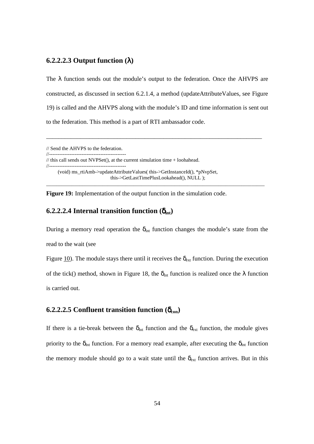#### **6.2.2.2.3 Output function (**λ**)**

The  $\lambda$  function sends out the module's output to the federation. Once the AHVPS are constructed, as discussed in section 6.2.1.4, a method (updateAttributeValues, see Figure 19) is called and the AHVPS along with the module's ID and time information is sent out to the federation. This method is a part of RTI ambassador code.

\_\_\_\_\_\_\_\_\_\_\_\_\_\_\_\_\_\_\_\_\_\_\_\_\_\_\_\_\_\_\_\_\_\_\_\_\_\_\_\_\_\_\_\_\_\_\_\_\_\_\_\_\_\_\_\_\_\_\_\_\_\_\_\_\_\_\_\_\_\_

\_\_\_\_\_\_\_\_\_\_\_\_\_\_\_\_\_\_\_\_\_\_\_\_\_\_\_\_\_\_\_\_\_\_\_\_\_\_\_\_\_\_\_\_\_\_\_\_\_\_\_\_\_\_\_\_\_\_\_\_\_\_\_\_\_\_\_\_\_\_\_\_\_\_\_\_\_\_\_\_\_\_\_\_\_

// Send the AHVPS to the federation. //---------------------------------------------

//---------------------------------------------

// this call sends out NVPSet(), at the current simulation time + loohahead.

 (void) ms\_rtiAmb->updateAttributeValues( this->GetInstanceId(), \*pNvpSet, this->GetLastTimePlusLookahead(), NULL );

**Figure 19:** Implementation of the output function in the simulation code.

#### **6.2.2.2.4 Internal transition function (** $\delta$ **<sub>int</sub>)**

During a memory read operation the  $\delta_{int}$  function changes the module's state from the read to the wait (see

Figure 10). The module stays there until it receives the  $\delta_{ext}$  function. During the execution of the tick() method, shown in Figure 18, the  $\delta_{int}$  function is realized once the  $\lambda$  function is carried out.

# **6.2.2.2.5 Confluent transition function (**δ**con)**

If there is a tie-break between the  $\delta_{int}$  function and the  $\delta_{ext}$  function, the module gives priority to the  $\delta_{int}$  function. For a memory read example, after executing the  $\delta_{int}$  function the memory module should go to a wait state until the  $\delta_{ext}$  function arrives. But in this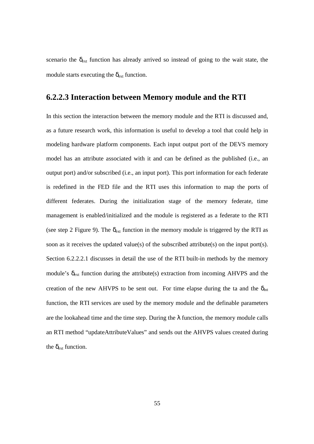scenario the  $\delta_{ext}$  function has already arrived so instead of going to the wait state, the module starts executing the  $\delta_{ext}$  function.

# **6.2.2.3 Interaction between Memory module and the RTI**

In this section the interaction between the memory module and the RTI is discussed and, as a future research work, this information is useful to develop a tool that could help in modeling hardware platform components. Each input output port of the DEVS memory model has an attribute associated with it and can be defined as the published (i.e., an output port) and/or subscribed (i.e., an input port). This port information for each federate is redefined in the FED file and the RTI uses this information to map the ports of different federates. During the initialization stage of the memory federate, time management is enabled/initialized and the module is registered as a federate to the RTI (see step 2 Figure 9). The  $\delta_{ext}$  function in the memory module is triggered by the RTI as soon as it receives the updated value(s) of the subscribed attribute(s) on the input port(s). Section 6.2.2.2.1 discusses in detail the use of the RTI built-in methods by the memory module's  $\delta_{ext}$  function during the attribute(s) extraction from incoming AHVPS and the creation of the new AHVPS to be sent out. For time elapse during the ta and the  $\delta_{int}$ function, the RTI services are used by the memory module and the definable parameters are the lookahead time and the time step. During the  $\lambda$  function, the memory module calls an RTI method "updateAttributeValues" and sends out the AHVPS values created during the  $\delta_{ext}$  function.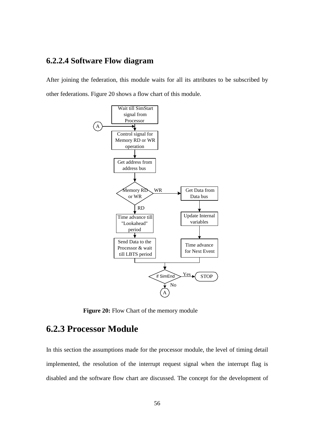# **6.2.2.4 Software Flow diagram**

After joining the federation, this module waits for all its attributes to be subscribed by other federations. Figure 20 shows a flow chart of this module.



**Figure 20:** Flow Chart of the memory module

# **6.2.3 Processor Module**

In this section the assumptions made for the processor module, the level of timing detail implemented, the resolution of the interrupt request signal when the interrupt flag is disabled and the software flow chart are discussed. The concept for the development of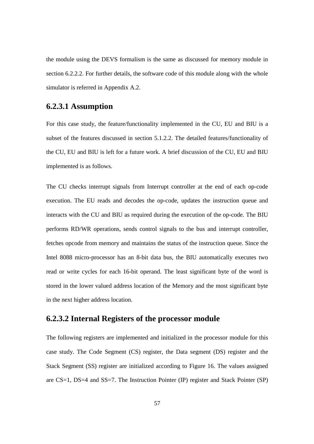the module using the DEVS formalism is the same as discussed for memory module in section 6.2.2.2. For further details, the software code of this module along with the whole simulator is referred in Appendix A.2.

## **6.2.3.1 Assumption**

For this case study, the feature/functionality implemented in the CU, EU and BIU is a subset of the features discussed in section 5.1.2.2. The detailed features/functionality of the CU, EU and BIU is left for a future work. A brief discussion of the CU, EU and BIU implemented is as follows.

The CU checks interrupt signals from Interrupt controller at the end of each op-code execution. The EU reads and decodes the op-code, updates the instruction queue and interacts with the CU and BIU as required during the execution of the op-code. The BIU performs RD/WR operations, sends control signals to the bus and interrupt controller, fetches opcode from memory and maintains the status of the instruction queue. Since the Intel 8088 micro-processor has an 8-bit data bus, the BIU automatically executes two read or write cycles for each 16-bit operand. The least significant byte of the word is stored in the lower valued address location of the Memory and the most significant byte in the next higher address location.

## **6.2.3.2 Internal Registers of the processor module**

The following registers are implemented and initialized in the processor module for this case study. The Code Segment (CS) register, the Data segment (DS) register and the Stack Segment (SS) register are initialized according to Figure 16. The values assigned are CS=1, DS=4 and SS=7. The Instruction Pointer (IP) register and Stack Pointer (SP)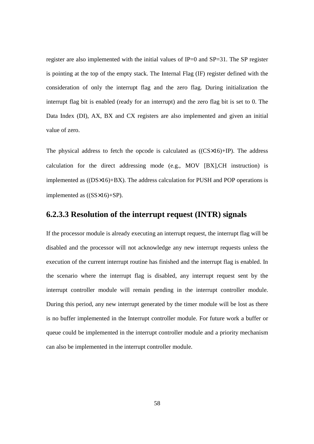register are also implemented with the initial values of IP=0 and SP=31. The SP register is pointing at the top of the empty stack. The Internal Flag (IF) register defined with the consideration of only the interrupt flag and the zero flag. During initialization the interrupt flag bit is enabled (ready for an interrupt) and the zero flag bit is set to 0. The Data Index (DI), AX, BX and CX registers are also implemented and given an initial value of zero.

The physical address to fetch the opcode is calculated as  $((CS \times 16) + IP)$ . The address calculation for the direct addressing mode (e.g., MOV [BX],CH instruction) is implemented as ((DS×16)+BX). The address calculation for PUSH and POP operations is implemented as ((SS×16)+SP).

## **6.2.3.3 Resolution of the interrupt request (INTR) signals**

If the processor module is already executing an interrupt request, the interrupt flag will be disabled and the processor will not acknowledge any new interrupt requests unless the execution of the current interrupt routine has finished and the interrupt flag is enabled. In the scenario where the interrupt flag is disabled, any interrupt request sent by the interrupt controller module will remain pending in the interrupt controller module. During this period, any new interrupt generated by the timer module will be lost as there is no buffer implemented in the Interrupt controller module. For future work a buffer or queue could be implemented in the interrupt controller module and a priority mechanism can also be implemented in the interrupt controller module.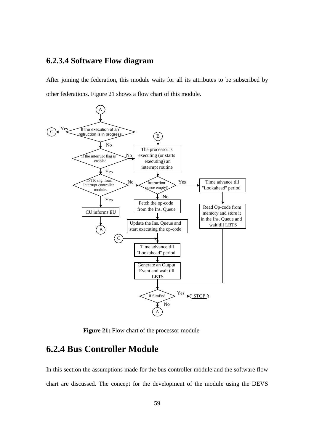#### **6.2.3.4 Software Flow diagram**

After joining the federation, this module waits for all its attributes to be subscribed by other federations. Figure 21 shows a flow chart of this module.



Figure 21: Flow chart of the processor module

#### **6.2.4 Bus Controller Module**

In this section the assumptions made for the bus controller module and the software flow chart are discussed. The concept for the development of the module using the DEVS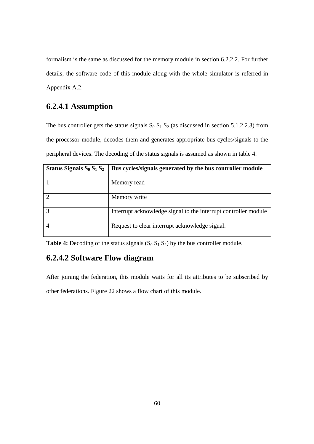formalism is the same as discussed for the memory module in section 6.2.2.2. For further details, the software code of this module along with the whole simulator is referred in Appendix A.2.

#### **6.2.4.1 Assumption**

The bus controller gets the status signals  $S_0 S_1 S_2$  (as discussed in section 5.1.2.2.3) from the processor module, decodes them and generates appropriate bus cycles/signals to the peripheral devices. The decoding of the status signals is assumed as shown in table 4.

| Status Signals $S_0 S_1 S_2$ | Bus cycles/signals generated by the bus controller module       |
|------------------------------|-----------------------------------------------------------------|
|                              | Memory read                                                     |
| 2                            | Memory write                                                    |
| 3                            | Interrupt acknowledge signal to the interrupt controller module |
| 4                            | Request to clear interrupt acknowledge signal.                  |

**Table 4:** Decoding of the status signals  $(S_0 S_1 S_2)$  by the bus controller module.

#### **6.2.4.2 Software Flow diagram**

After joining the federation, this module waits for all its attributes to be subscribed by other federations. Figure 22 shows a flow chart of this module.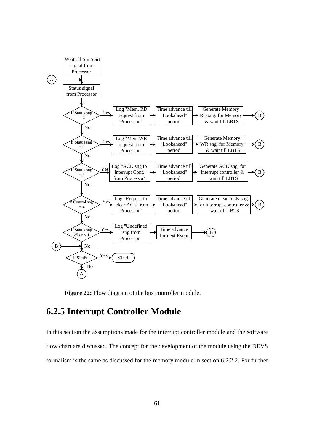

**Figure 22:** Flow diagram of the bus controller module.

#### **6.2.5 Interrupt Controller Module**

In this section the assumptions made for the interrupt controller module and the software flow chart are discussed. The concept for the development of the module using the DEVS formalism is the same as discussed for the memory module in section 6.2.2.2. For further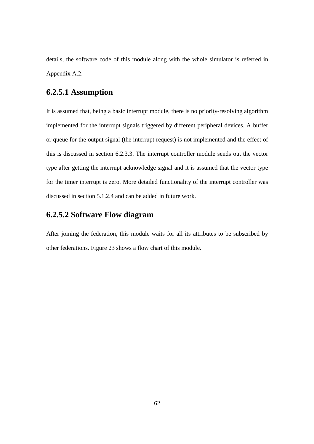details, the software code of this module along with the whole simulator is referred in Appendix A.2.

#### **6.2.5.1 Assumption**

It is assumed that, being a basic interrupt module, there is no priority-resolving algorithm implemented for the interrupt signals triggered by different peripheral devices. A buffer or queue for the output signal (the interrupt request) is not implemented and the effect of this is discussed in section 6.2.3.3. The interrupt controller module sends out the vector type after getting the interrupt acknowledge signal and it is assumed that the vector type for the timer interrupt is zero. More detailed functionality of the interrupt controller was discussed in section 5.1.2.4 and can be added in future work.

#### **6.2.5.2 Software Flow diagram**

After joining the federation, this module waits for all its attributes to be subscribed by other federations. Figure 23 shows a flow chart of this module.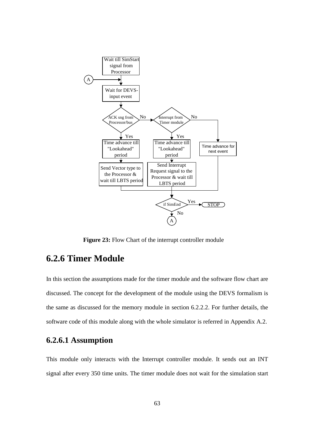

**Figure 23:** Flow Chart of the interrupt controller module

#### **6.2.6 Timer Module**

In this section the assumptions made for the timer module and the software flow chart are discussed. The concept for the development of the module using the DEVS formalism is the same as discussed for the memory module in section 6.2.2.2. For further details, the software code of this module along with the whole simulator is referred in Appendix A.2.

#### **6.2.6.1 Assumption**

This module only interacts with the Interrupt controller module. It sends out an INT signal after every 350 time units. The timer module does not wait for the simulation start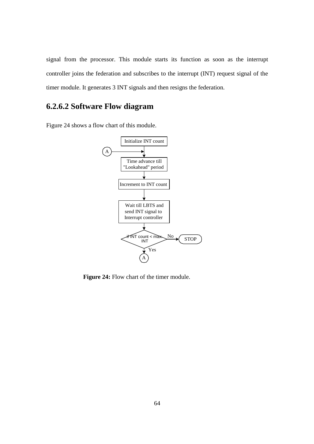signal from the processor. This module starts its function as soon as the interrupt controller joins the federation and subscribes to the interrupt (INT) request signal of the timer module. It generates 3 INT signals and then resigns the federation.

#### **6.2.6.2 Software Flow diagram**

Figure 24 shows a flow chart of this module.



Figure 24: Flow chart of the timer module.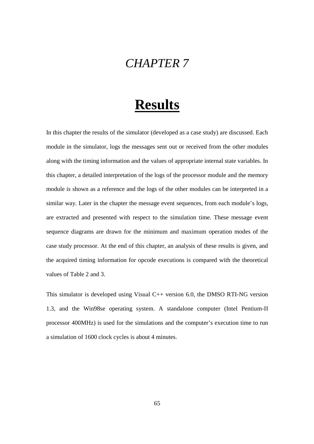## *CHAPTER 7*

# **Results**

In this chapter the results of the simulator (developed as a case study) are discussed. Each module in the simulator, logs the messages sent out or received from the other modules along with the timing information and the values of appropriate internal state variables. In this chapter, a detailed interpretation of the logs of the processor module and the memory module is shown as a reference and the logs of the other modules can be interpreted in a similar way. Later in the chapter the message event sequences, from each module's logs, are extracted and presented with respect to the simulation time. These message event sequence diagrams are drawn for the minimum and maximum operation modes of the case study processor. At the end of this chapter, an analysis of these results is given, and the acquired timing information for opcode executions is compared with the theoretical values of Table 2 and 3.

This simulator is developed using Visual C++ version 6.0, the DMSO RTI-NG version 1.3, and the Win98se operating system. A standalone computer (Intel Pentium-II processor 400MHz) is used for the simulations and the computer's execution time to run a simulation of 1600 clock cycles is about 4 minutes.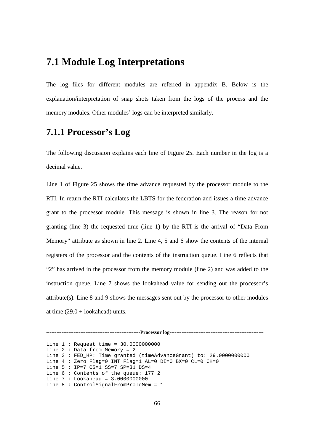## **7.1 Module Log Interpretations**

The log files for different modules are referred in appendix B. Below is the explanation/interpretation of snap shots taken from the logs of the process and the memory modules. Other modules' logs can be interpreted similarly.

#### **7.1.1 Processor's Log**

The following discussion explains each line of Figure 25. Each number in the log is a decimal value.

Line 1 of Figure 25 shows the time advance requested by the processor module to the RTI. In return the RTI calculates the LBTS for the federation and issues a time advance grant to the processor module. This message is shown in line 3. The reason for not granting (line 3) the requested time (line 1) by the RTI is the arrival of "Data From Memory" attribute as shown in line 2. Line 4, 5 and 6 show the contents of the internal registers of the processor and the contents of the instruction queue. Line 6 reflects that "2" has arrived in the processor from the memory module (line 2) and was added to the instruction queue. Line 7 shows the lookahead value for sending out the processor's attribute(s). Line 8 and 9 shows the messages sent out by the processor to other modules at time  $(29.0 + \text{look ahead})$  units.

-------------------------------------------------------**Processor log**------------------------------------------------------- Line 1 : Request time = 30.0000000000 Line 2 : Data from Memory = 2 Line 3 : FED\_HP: Time granted (timeAdvanceGrant) to: 29.0000000000 Line 4 : Zero Flag=0 INT Flag=1 AL=0 DI=0 BX=0 CL=0 CH=0 Line 5 : IP=7 CS=1 SS=7 SP=31 DS=4 Line 6 : Contents of the queue: 177 2 Line 7 : Lookahead = 3.0000000000 Line 8 : ControlSignalFromProToMem = 1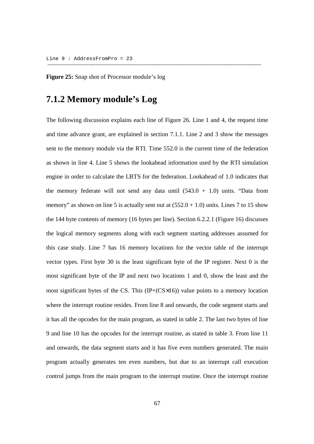**Figure 25:** Snap shot of Processor module's log

#### **7.1.2 Memory module's Log**

The following discussion explains each line of Figure 26. Line 1 and 4, the request time and time advance grant, are explained in section 7.1.1. Line 2 and 3 show the messages sent to the memory module via the RTI. Time 552.0 is the current time of the federation as shown in line 4. Line 5 shows the lookahead information used by the RTI simulation engine in order to calculate the LBTS for the federation. Lookahead of 1.0 indicates that the memory federate will not send any data until  $(543.0 + 1.0)$  units. "Data from memory" as shown on line 5 is actually sent out at  $(552.0 + 1.0)$  units. Lines 7 to 15 show the 144 byte contents of memory (16 bytes per line). Section 6.2.2.1 (Figure 16) discusses the logical memory segments along with each segment starting addresses assumed for this case study. Line 7 has 16 memory locations for the vector table of the interrupt vector types. First byte 30 is the least significant byte of the IP register. Next 0 is the most significant byte of the IP and next two locations 1 and 0, show the least and the most significant bytes of the CS. This (IP+(CS×16)) value points to a memory location where the interrupt routine resides. From line 8 and onwards, the code segment starts and it has all the opcodes for the main program, as stated in table 2. The last two bytes of line 9 and line 10 has the opcodes for the interrupt routine, as stated in table 3. From line 11 and onwards, the data segment starts and it has five even numbers generated. The main program actually generates ten even numbers, but due to an interrupt call execution control jumps from the main program to the interrupt routine. Once the interrupt routine

-----------------------------------------------------------------------------------------------------------------------------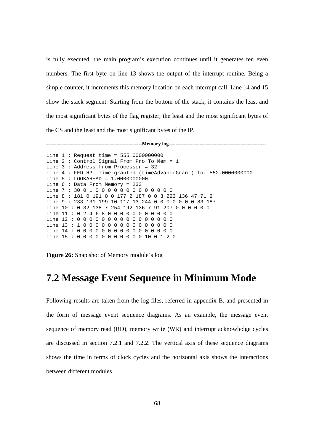is fully executed, the main program's execution continues until it generates ten even numbers. The first byte on line 13 shows the output of the interrupt routine. Being a simple counter, it increments this memory location on each interrupt call. Line 14 and 15 show the stack segment. Starting from the bottom of the stack, it contains the least and the most significant bytes of the flag register, the least and the most significant bytes of the CS and the least and the most significant bytes of the IP.

--------------------------------------------------------**Memory log**---------------------------------------------------------

```
Line 1 : Request time = 555.0000000000 
Line 2 : Control Signal From Pro To Mem = 1 
Line 3 : Address from Processor = 32 
Line 4 : FED_HP: Time granted (timeAdvanceGrant) to: 552.0000000000 
Line 5 : LOOKAHEAD = 1.0000000000 
Line 6 : Data From Memory = 233 
Line 7 : 30 0 1 0 0 0 0 0 0 0 0 0 0 0 0 0
Line 8 : 181 0 191 0 0 177 2 187 0 0 3 223 136 47 71 2 
Line 9 : 233 131 199 10 117 13 244 0 0 0 0 0 0 0 83 187 
Line 10 : 0 32 138 7 254 192 136 7 91 207 0 0 0 0 0 0
Line 11: 0 2 4 6 8 0 0 0 0 0 0 0 0 0 0 0
Line 12 : 0 0 0 0 0 0 0 0 0 0 0 0 0 0 0 0 
Line 13: 1000000000000000
Line 14 : 0 0 0 0 0 0 0 0 0 0 0 0 0 0 0 0 
Line 15 : 0 0 0 0 0 0 0 0 0 0 0 10 0 1 2 0 
 ------------------------------------------------------------------------------------------------------------------------------
```
**Figure 26:** Snap shot of Memory module's log

#### **7.2 Message Event Sequence in Minimum Mode**

Following results are taken from the log files, referred in appendix B, and presented in the form of message event sequence diagrams. As an example, the message event sequence of memory read (RD), memory write (WR) and interrupt acknowledge cycles are discussed in section 7.2.1 and 7.2.2. The vertical axis of these sequence diagrams shows the time in terms of clock cycles and the horizontal axis shows the interactions between different modules.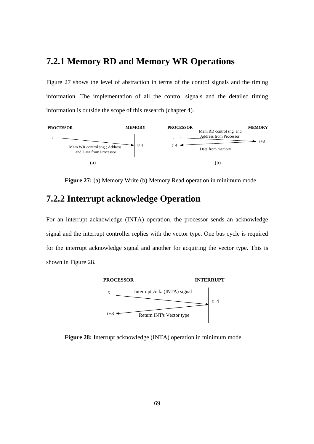#### **7.2.1 Memory RD and Memory WR Operations**

Figure 27 shows the level of abstraction in terms of the control signals and the timing information. The implementation of all the control signals and the detailed timing information is outside the scope of this research (chapter 4).



**Figure 27:** (a) Memory Write (b) Memory Read operation in minimum mode

#### **7.2.2 Interrupt acknowledge Operation**

For an interrupt acknowledge (INTA) operation, the processor sends an acknowledge signal and the interrupt controller replies with the vector type. One bus cycle is required for the interrupt acknowledge signal and another for acquiring the vector type. This is shown in Figure 28.



**Figure 28:** Interrupt acknowledge (INTA) operation in minimum mode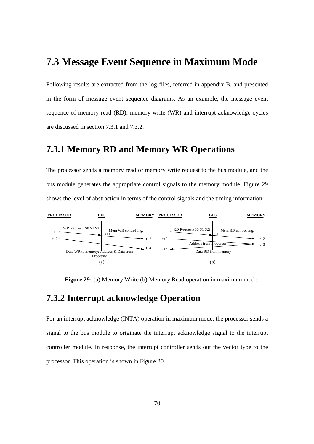## **7.3 Message Event Sequence in Maximum Mode**

Following results are extracted from the log files, referred in appendix B, and presented in the form of message event sequence diagrams. As an example, the message event sequence of memory read (RD), memory write (WR) and interrupt acknowledge cycles are discussed in section 7.3.1 and 7.3.2.

#### **7.3.1 Memory RD and Memory WR Operations**

The processor sends a memory read or memory write request to the bus module, and the bus module generates the appropriate control signals to the memory module. Figure 29 shows the level of abstraction in terms of the control signals and the timing information.



**Figure 29:** (a) Memory Write (b) Memory Read operation in maximum mode

#### **7.3.2 Interrupt acknowledge Operation**

For an interrupt acknowledge (INTA) operation in maximum mode, the processor sends a signal to the bus module to originate the interrupt acknowledge signal to the interrupt controller module. In response, the interrupt controller sends out the vector type to the processor. This operation is shown in Figure 30.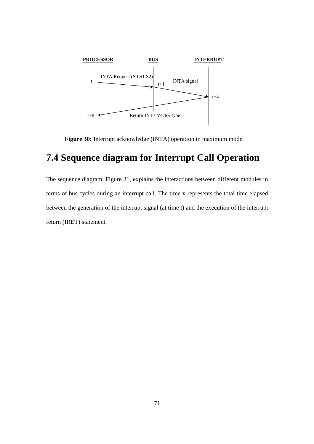

**Figure 30:** Interrupt acknowledge (INTA) operation in maximum mode

## **7.4 Sequence diagram for Interrupt Call Operation**

The sequence diagram, Figure 31, explains the interactions between different modules in terms of bus cycles during an interrupt call. The time x represents the total time elapsed between the generation of the interrupt signal (at time t) and the execution of the interrupt return (IRET) statement.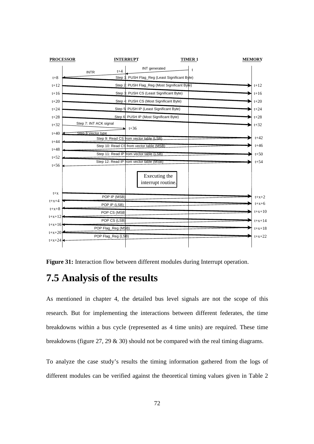

**Figure 31:** Interaction flow between different modules during Interrupt operation.

## **7.5 Analysis of the results**

As mentioned in chapter 4, the detailed bus level signals are not the scope of this research. But for implementing the interactions between different federates, the time breakdowns within a bus cycle (represented as 4 time units) are required. These time breakdowns (figure 27, 29 & 30) should not be compared with the real timing diagrams.

To analyze the case study's results the timing information gathered from the logs of different modules can be verified against the theoretical timing values given in Table 2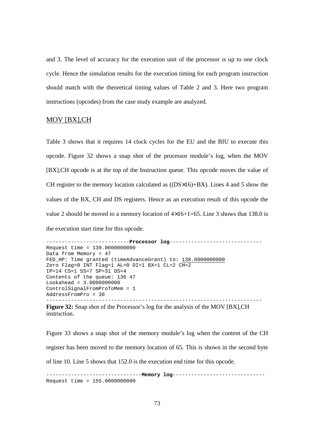and 3. The level of accuracy for the execution unit of the processor is up to one clock cycle. Hence the simulation results for the execution timing for each program instruction should match with the theoretical timing values of Table 2 and 3. Here two program instructions (opcodes) from the case study example are analyzed.

#### MOV [BX],CH

Table 3 shows that it requires 14 clock cycles for the EU and the BIU to execute this opcode. Figure 32 shows a snap shot of the processor module's log, when the MOV [BX],CH opcode is at the top of the Instruction queue. This opcode moves the value of CH register to the memory location calculated as  $($ (DS $\times$ 16)+BX $)$ . Lines 4 and 5 show the values of the BX, CH and DS registers. Hence as an execution result of this opcode the value 2 should be moved to a memory location of  $4\times16+1=65$ . Line 3 shows that 138.0 is the execution start time for this opcode.

```
---------------------------Processor log------------------------------ 
Request time = 139.0000000000 
Data from Memory = 47 
FED HP: Time granted (timeAdvanceGrant) to: 138.00000000000
Zero Flag=0 INT Flag=1 AL=0 DI=1 BX=1 CL=2 CH=2 
IP=14 CS=1 SS=7 SP=31 DS=4 
Contents of the queue: 136 47 
Lookahead = 3.0000000000 
ControlSignalFromProToMem = 1 
AddressFromPro = 30 
----------------------------------------------------------------------
```
**Figure 32:** Snap shot of the Processor's log for the analysis of the MOV [BX],CH instruction.

Figure 33 shows a snap shot of the memory module's log when the content of the CH register has been moved to the memory location of 65. This is shown in the second byte of line 10. Line 5 shows that 152.0 is the execution end time for this opcode.

-------------------------------**Memory log**------------------------------ Request time = 155.0000000000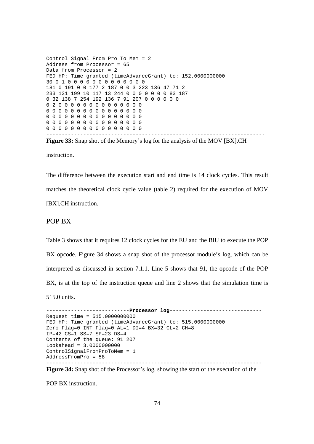Control Signal From Pro To Mem = 2 Address from Processor = 65 Data from Processor = 2 FED\_HP: Time granted (timeAdvanceGrant) to: 152.0000000000 30 0 1 0 0 0 0 0 0 0 0 0 0 0 0 0 181 0 191 0 0 177 2 187 0 0 3 223 136 47 71 2 233 131 199 10 117 13 244 0 0 0 0 0 0 0 83 187 0 32 138 7 254 192 136 7 91 207 0 0 0 0 0 0 0 2 0 0 0 0 0 0 0 0 0 0 0 0 0 0 0 0 0 0 0 0 0 0 0 0 0 0 0 0 0 0 0 0 0 0 0 0 0 0 0 0 0 0 0 0 0 0 0 0 0 0 0 0 0 0 0 0 0 0 0 0 0 0 0 0 0 0 0 0 0 0 0 0 0 0 0 0 0 0 -----------------------------------------------------------------------

**Figure 33:** Snap shot of the Memory's log for the analysis of the MOV [BX],CH

instruction.

The difference between the execution start and end time is 14 clock cycles. This result matches the theoretical clock cycle value (table 2) required for the execution of MOV [BX],CH instruction.

#### POP BX

Table 3 shows that it requires 12 clock cycles for the EU and the BIU to execute the POP BX opcode. Figure 34 shows a snap shot of the processor module's log, which can be interpreted as discussed in section 7.1.1. Line 5 shows that 91, the opcode of the POP BX, is at the top of the instruction queue and line 2 shows that the simulation time is 515.0 units.

---------------------------**Processor log**------------------------------ Request time = 515.0000000000 FED\_HP: Time granted (timeAdvanceGrant) to: 515.0000000000 Zero Flag=0 INT Flag=0 AL=1 DI=4 BX=32 CL=2 CH=8 IP=42 CS=1 SS=7 SP=23 DS=4 Contents of the queue: 91 207 Lookahead = 3.0000000000 ControlSignalFromProToMem = 1 AddressFromPro = 58 ----------------------------------------------------------------------

**Figure 34:** Snap shot of the Processor's log, showing the start of the execution of the

POP BX instruction.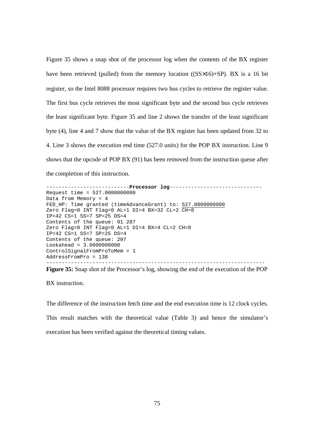Figure 35 shows a snap shot of the processor log when the contents of the BX register have been retrieved (pulled) from the memory location ((SS×16)+SP). BX is a 16 bit register, so the Intel 8088 processor requires two bus cycles to retrieve the register value. The first bus cycle retrieves the most significant byte and the second bus cycle retrieves the least significant byte. Figure 35 and line 2 shows the transfer of the least significant byte (4), line 4 and 7 show that the value of the BX register has been updated from 32 to 4. Line 3 shows the execution end time (527.0 units) for the POP BX instruction. Line 9 shows that the opcode of POP BX (91) has been removed from the instruction queue after the completion of this instruction.

---------------------------**Processor log**------------------------------ Request time = 527.0000000000 Data from Memory = 4 FED\_HP: Time granted (timeAdvanceGrant) to: 527.0000000000 Zero Flag=0 INT Flag=0 AL=1 DI=4 BX=32 CL=2 CH=8 IP=42 CS=1 SS=7 SP=25 DS=4 Contents of the queue: 91 207 Zero Flag=0 INT Flag=0 AL=1 DI=4 BX=4 CL=2 CH=8 IP=42 CS=1 SS=7 SP=25 DS=4 Contents of the queue: 207 Lookahead = 3.0000000000 ControlSignalFromProToMem = 1 AddressFromPro = 138 -----------------------------------------------------------------------

**Figure 35:** Snap shot of the Processor's log, showing the end of the execution of the POP

BX instruction.

The difference of the instruction fetch time and the end execution time is 12 clock cycles. This result matches with the theoretical value (Table 3) and hence the simulator's execution has been verified against the theoretical timing values.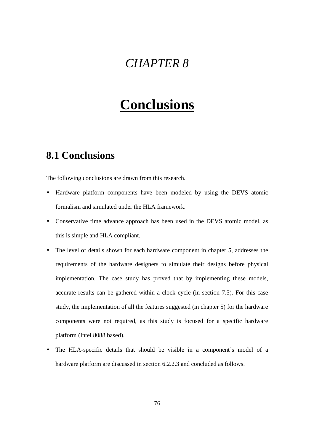# *CHAPTER 8*

# **Conclusions**

## **8.1 Conclusions**

The following conclusions are drawn from this research.

- Hardware platform components have been modeled by using the DEVS atomic formalism and simulated under the HLA framework.
- Conservative time advance approach has been used in the DEVS atomic model, as this is simple and HLA compliant.
- The level of details shown for each hardware component in chapter 5, addresses the requirements of the hardware designers to simulate their designs before physical implementation. The case study has proved that by implementing these models, accurate results can be gathered within a clock cycle (in section 7.5). For this case study, the implementation of all the features suggested (in chapter 5) for the hardware components were not required, as this study is focused for a specific hardware platform (Intel 8088 based).
- The HLA-specific details that should be visible in a component's model of a hardware platform are discussed in section 6.2.2.3 and concluded as follows.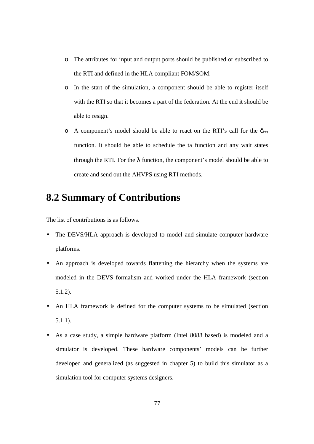- o The attributes for input and output ports should be published or subscribed to the RTI and defined in the HLA compliant FOM/SOM.
- o In the start of the simulation, a component should be able to register itself with the RTI so that it becomes a part of the federation. At the end it should be able to resign.
- o A component's model should be able to react on the RTI's call for the  $\delta_{ext}$ function. It should be able to schedule the ta function and any wait states through the RTI. For the  $\lambda$  function, the component's model should be able to create and send out the AHVPS using RTI methods.

## **8.2 Summary of Contributions**

The list of contributions is as follows.

- The DEVS/HLA approach is developed to model and simulate computer hardware platforms.
- An approach is developed towards flattening the hierarchy when the systems are modeled in the DEVS formalism and worked under the HLA framework (section 5.1.2).
- An HLA framework is defined for the computer systems to be simulated (section 5.1.1).
- As a case study, a simple hardware platform (Intel 8088 based) is modeled and a simulator is developed. These hardware components' models can be further developed and generalized (as suggested in chapter 5) to build this simulator as a simulation tool for computer systems designers.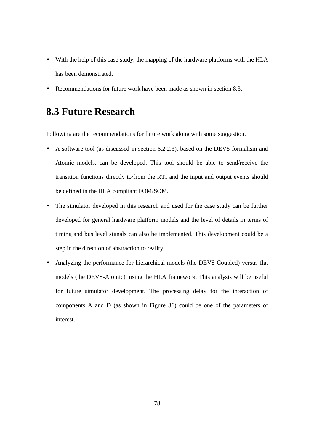- With the help of this case study, the mapping of the hardware platforms with the HLA has been demonstrated.
- Recommendations for future work have been made as shown in section 8.3.

## **8.3 Future Research**

Following are the recommendations for future work along with some suggestion.

- A software tool (as discussed in section 6.2.2.3), based on the DEVS formalism and Atomic models, can be developed. This tool should be able to send/receive the transition functions directly to/from the RTI and the input and output events should be defined in the HLA compliant FOM/SOM.
- The simulator developed in this research and used for the case study can be further developed for general hardware platform models and the level of details in terms of timing and bus level signals can also be implemented. This development could be a step in the direction of abstraction to reality.
- Analyzing the performance for hierarchical models (the DEVS-Coupled) versus flat models (the DEVS-Atomic), using the HLA framework. This analysis will be useful for future simulator development. The processing delay for the interaction of components A and D (as shown in Figure 36) could be one of the parameters of interest.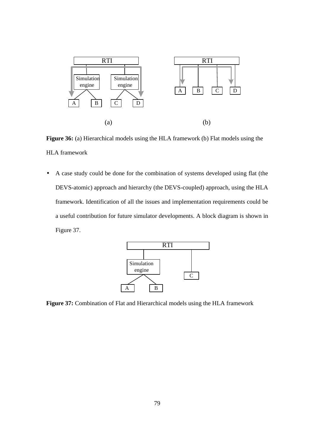

**Figure 36:** (a) Hierarchical models using the HLA framework (b) Flat models using the HLA framework

• A case study could be done for the combination of systems developed using flat (the DEVS-atomic) approach and hierarchy (the DEVS-coupled) approach, using the HLA framework. Identification of all the issues and implementation requirements could be a useful contribution for future simulator developments. A block diagram is shown in Figure 37.



**Figure 37:** Combination of Flat and Hierarchical models using the HLA framework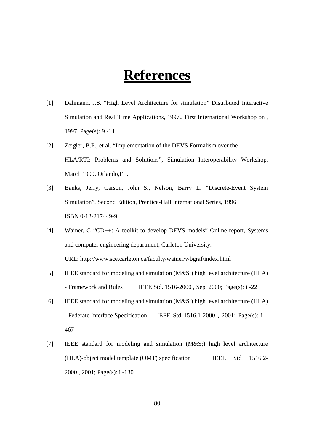# **References**

- [1] Dahmann, J.S. "High Level Architecture for simulation" Distributed Interactive Simulation and Real Time Applications, 1997., First International Workshop on , 1997. Page(s): 9 -14
- [2] Zeigler, B.P., et al. "Implementation of the DEVS Formalism over the HLA/RTI: Problems and Solutions", Simulation Interoperability Workshop, March 1999. Orlando,FL.
- [3] Banks, Jerry, Carson, John S., Nelson, Barry L. "Discrete-Event System Simulation". Second Edition, Prentice-Hall International Series, 1996 ISBN 0-13-217449-9
- [4] Wainer, G "CD++: A toolkit to develop DEVS models" Online report, Systems and computer engineering department, Carleton University. URL: http://www.sce.carleton.ca/faculty/wainer/wbgraf/index.html
- [5] IEEE standard for modeling and simulation (M&S;) high level architecture (HLA) - Framework and Rules IEEE Std.  $1516-2000$ , Sep. 2000; Page(s):  $i - 22$
- [6] IEEE standard for modeling and simulation (M&S;) high level architecture (HLA) - Federate Interface Specification IEEE Std 1516.1-2000 , 2001; Page(s): i – 467
- [7] IEEE standard for modeling and simulation (M&S;) high level architecture (HLA)-object model template (OMT) specification IEEE Std 1516.2- 2000 , 2001; Page(s): i -130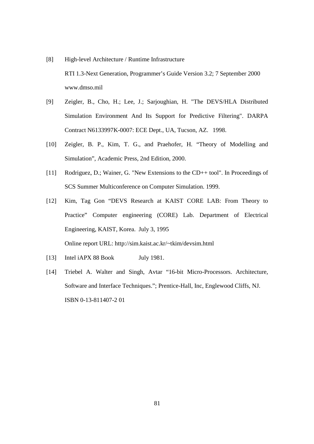- [8] High-level Architecture / Runtime Infrastructure RTI 1.3-Next Generation, Programmer's Guide Version 3.2; 7 September 2000 www.dmso.mil
- [9] Zeigler, B., Cho, H.; Lee, J.; Sarjoughian, H. "The DEVS/HLA Distributed Simulation Environment And Its Support for Predictive Filtering". DARPA Contract N6133997K-0007: ECE Dept., UA, Tucson, AZ. 1998.
- [10] Zeigler, B. P., Kim, T. G., and Praehofer, H. "Theory of Modelling and Simulation", Academic Press, 2nd Edition, 2000.
- [11] Rodriguez, D.; Wainer, G. "New Extensions to the CD++ tool". In Proceedings of SCS Summer Multiconference on Computer Simulation. 1999.
- [12] Kim, Tag Gon "DEVS Research at KAIST CORE LAB: From Theory to Practice" Computer engineering (CORE) Lab. Department of Electrical Engineering, KAIST, Korea. July 3, 1995 Online report URL: http://sim.kaist.ac.kr/~tkim/devsim.html
- [13] Intel iAPX 88 Book July 1981.
- [14] Triebel A. Walter and Singh, Avtar "16-bit Micro-Processors. Architecture, Software and Interface Techniques."; Prentice-Hall, Inc, Englewood Cliffs, NJ. ISBN 0-13-811407-2 01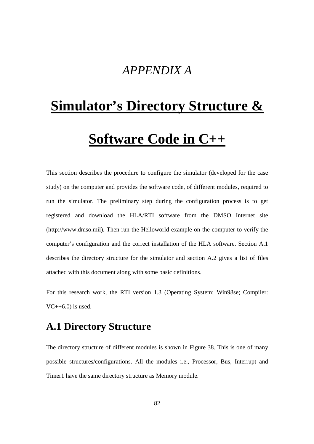# *APPENDIX A*

# **Simulator's Directory Structure & Software Code in C++**

This section describes the procedure to configure the simulator (developed for the case study) on the computer and provides the software code, of different modules, required to run the simulator. The preliminary step during the configuration process is to get registered and download the HLA/RTI software from the DMSO Internet site (http://www.dmso.mil). Then run the Helloworld example on the computer to verify the computer's configuration and the correct installation of the HLA software. Section A.1 describes the directory structure for the simulator and section A.2 gives a list of files attached with this document along with some basic definitions.

For this research work, the RTI version 1.3 (Operating System: Win98se; Compiler:  $VC++6.0$ ) is used.

## **A.1 Directory Structure**

The directory structure of different modules is shown in Figure 38. This is one of many possible structures/configurations. All the modules i.e., Processor, Bus, Interrupt and Timer1 have the same directory structure as Memory module.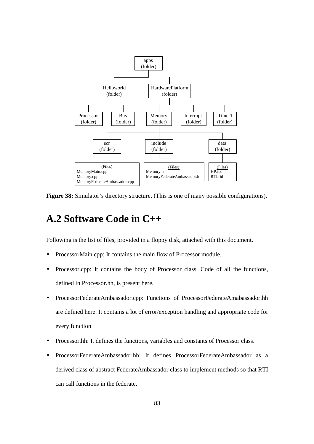

**Figure 38:** Simulator's directory structure. (This is one of many possible configurations).

## **A.2 Software Code in C++**

Following is the list of files, provided in a floppy disk, attached with this document.

- ProcessorMain.cpp: It contains the main flow of Processor module.
- Processor.cpp: It contains the body of Processor class. Code of all the functions, defined in Processor.hh, is present here.
- ProcessorFederateAmbassador.cpp: Functions of ProcessorFederateAmabassador.hh are defined here. It contains a lot of error/exception handling and appropriate code for every function
- Processor.hh: It defines the functions, variables and constants of Processor class.
- ProcessorFederateAmbassador.hh: It defines ProcessorFederateAmbassador as a derived class of abstract FederateAmbassador class to implement methods so that RTI can call functions in the federate.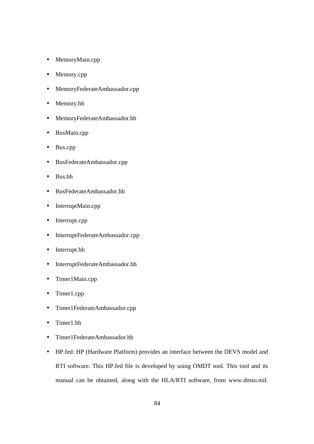- MemoryMain.cpp
- Memory.cpp
- MemoryFederateAmbassador.cpp
- Memory.hh
- MemoryFederateAmbassador.hh
- BusMain.cpp
- Bus.cpp
- BusFederateAmbassador.cpp
- Bus.hh
- BusFederateAmbassador.hh
- InterruptMain.cpp
- Interrupt.cpp
- InterruptFederateAmbassador.cpp
- Interrupt.hh
- InterruptFederateAmbassador.hh
- Timer1Main.cpp
- Timer1.cpp
- Timer1FederateAmbassador.cpp
- Timer1.hh
- Timer1FederateAmbassador.hh
- HP.fed: HP (Hardware Platform) provides an interface between the DEVS model and RTI software. This HP.fed file is developed by using OMDT tool. This tool and its manual can be obtained, along with the HLA/RTI software, from www.dmso.mil.